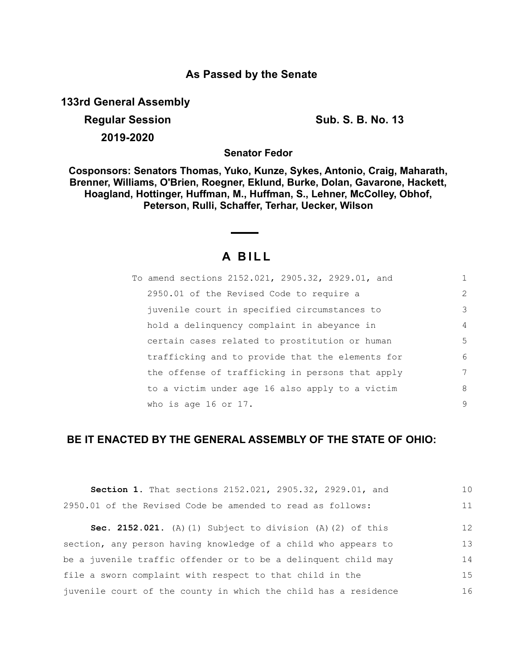## **As Passed by the Senate**

**133rd General Assembly**

**Regular Session Sub. S. B. No. 13 2019-2020**

**Senator Fedor**

**Cosponsors: Senators Thomas, Yuko, Kunze, Sykes, Antonio, Craig, Maharath, Brenner, Williams, O'Brien, Roegner, Eklund, Burke, Dolan, Gavarone, Hackett, Hoagland, Hottinger, Huffman, M., Huffman, S., Lehner, McColley, Obhof, Peterson, Rulli, Schaffer, Terhar, Uecker, Wilson**

# **A B I L L**

| To amend sections 2152.021, 2905.32, 2929.01, and | 1              |
|---------------------------------------------------|----------------|
| 2950.01 of the Revised Code to require a          | $\overline{2}$ |
| juvenile court in specified circumstances to      | 3              |
| hold a delinquency complaint in abeyance in       | $\overline{4}$ |
| certain cases related to prostitution or human    | .5             |
| trafficking and to provide that the elements for  | 6              |
| the offense of trafficking in persons that apply  | 7              |
| to a victim under age 16 also apply to a victim   | 8              |
| who is age 16 or 17.                              | 9              |

## **BE IT ENACTED BY THE GENERAL ASSEMBLY OF THE STATE OF OHIO:**

| Section 1. That sections 2152.021, 2905.32, 2929.01, and          | 10 |
|-------------------------------------------------------------------|----|
| 2950.01 of the Revised Code be amended to read as follows:        | 11 |
| <b>Sec. 2152.021.</b> (A) (1) Subject to division (A) (2) of this | 12 |
| section, any person having knowledge of a child who appears to    | 13 |
| be a juvenile traffic offender or to be a delinquent child may    | 14 |
| file a sworn complaint with respect to that child in the          | 15 |
| juvenile court of the county in which the child has a residence   | 16 |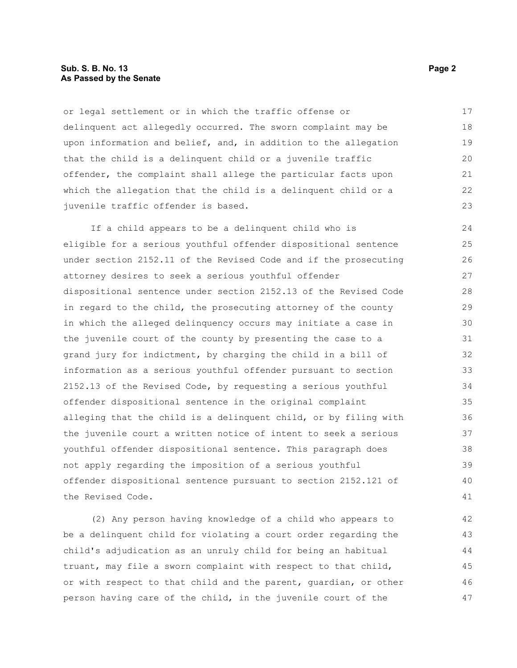#### **Sub. S. B. No. 13 Page 2 As Passed by the Senate**

or legal settlement or in which the traffic offense or delinquent act allegedly occurred. The sworn complaint may be upon information and belief, and, in addition to the allegation that the child is a delinquent child or a juvenile traffic offender, the complaint shall allege the particular facts upon which the allegation that the child is a delinquent child or a juvenile traffic offender is based. 17 18 19 20 21 22 23

If a child appears to be a delinquent child who is eligible for a serious youthful offender dispositional sentence under section 2152.11 of the Revised Code and if the prosecuting attorney desires to seek a serious youthful offender dispositional sentence under section 2152.13 of the Revised Code in regard to the child, the prosecuting attorney of the county in which the alleged delinquency occurs may initiate a case in the juvenile court of the county by presenting the case to a grand jury for indictment, by charging the child in a bill of information as a serious youthful offender pursuant to section 2152.13 of the Revised Code, by requesting a serious youthful offender dispositional sentence in the original complaint alleging that the child is a delinquent child, or by filing with the juvenile court a written notice of intent to seek a serious youthful offender dispositional sentence. This paragraph does not apply regarding the imposition of a serious youthful offender dispositional sentence pursuant to section 2152.121 of the Revised Code.  $24$ 25 26 27 28 29 30 31 32 33 34 35 36 37 38 39 40 41

(2) Any person having knowledge of a child who appears to be a delinquent child for violating a court order regarding the child's adjudication as an unruly child for being an habitual truant, may file a sworn complaint with respect to that child, or with respect to that child and the parent, guardian, or other person having care of the child, in the juvenile court of the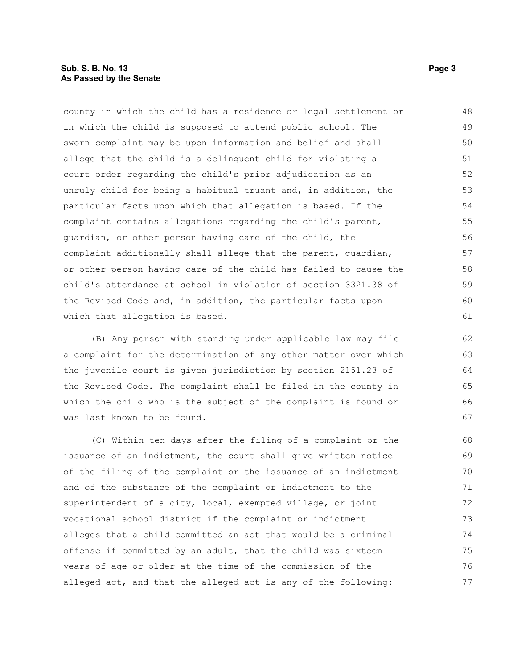#### **Sub. S. B. No. 13 Page 3 As Passed by the Senate**

county in which the child has a residence or legal settlement or in which the child is supposed to attend public school. The sworn complaint may be upon information and belief and shall allege that the child is a delinquent child for violating a court order regarding the child's prior adjudication as an unruly child for being a habitual truant and, in addition, the particular facts upon which that allegation is based. If the complaint contains allegations regarding the child's parent, guardian, or other person having care of the child, the complaint additionally shall allege that the parent, guardian, or other person having care of the child has failed to cause the child's attendance at school in violation of section 3321.38 of the Revised Code and, in addition, the particular facts upon which that allegation is based. 48 49 50 51 52 53 54 55 56 57 58 59 60 61

(B) Any person with standing under applicable law may file a complaint for the determination of any other matter over which the juvenile court is given jurisdiction by section 2151.23 of the Revised Code. The complaint shall be filed in the county in which the child who is the subject of the complaint is found or was last known to be found.

(C) Within ten days after the filing of a complaint or the issuance of an indictment, the court shall give written notice of the filing of the complaint or the issuance of an indictment and of the substance of the complaint or indictment to the superintendent of a city, local, exempted village, or joint vocational school district if the complaint or indictment alleges that a child committed an act that would be a criminal offense if committed by an adult, that the child was sixteen years of age or older at the time of the commission of the alleged act, and that the alleged act is any of the following: 68 69 70 71 72 73 74 75 76 77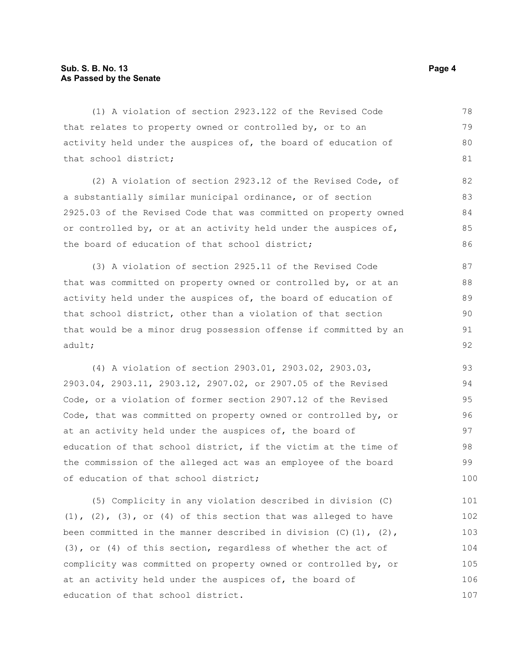(1) A violation of section 2923.122 of the Revised Code that relates to property owned or controlled by, or to an activity held under the auspices of, the board of education of that school district; (2) A violation of section 2923.12 of the Revised Code, of a substantially similar municipal ordinance, or of section 2925.03 of the Revised Code that was committed on property owned or controlled by, or at an activity held under the auspices of, the board of education of that school district; (3) A violation of section 2925.11 of the Revised Code that was committed on property owned or controlled by, or at an activity held under the auspices of, the board of education of that school district, other than a violation of that section that would be a minor drug possession offense if committed by an adult; (4) A violation of section 2903.01, 2903.02, 2903.03, 2903.04, 2903.11, 2903.12, 2907.02, or 2907.05 of the Revised Code, or a violation of former section 2907.12 of the Revised Code, that was committed on property owned or controlled by, or at an activity held under the auspices of, the board of education of that school district, if the victim at the time of the commission of the alleged act was an employee of the board of education of that school district; 78 79 80 81 82 83 84 85  $86$ 87 88 89 90 91 92 93 94 95 96 97 98 99 100

(5) Complicity in any violation described in division (C)  $(1)$ ,  $(2)$ ,  $(3)$ , or  $(4)$  of this section that was alleged to have been committed in the manner described in division  $(C)$   $(1)$ ,  $(2)$ , (3), or (4) of this section, regardless of whether the act of complicity was committed on property owned or controlled by, or at an activity held under the auspices of, the board of education of that school district. 101 102 103 104 105 106 107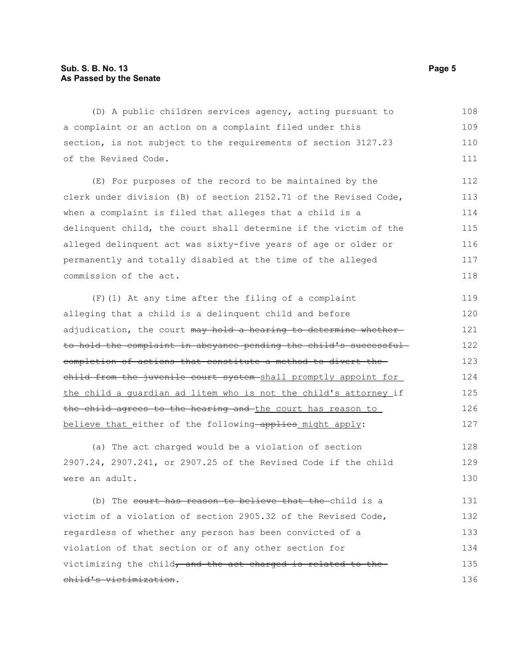#### **Sub. S. B. No. 13 Page 5 As Passed by the Senate**

(D) A public children services agency, acting pursuant to a complaint or an action on a complaint filed under this section, is not subject to the requirements of section 3127.23 of the Revised Code. (E) For purposes of the record to be maintained by the clerk under division (B) of section 2152.71 of the Revised Code, when a complaint is filed that alleges that a child is a delinquent child, the court shall determine if the victim of the alleged delinquent act was sixty-five years of age or older or permanently and totally disabled at the time of the alleged commission of the act. (F)(1) At any time after the filing of a complaint alleging that a child is a delinquent child and before adjudication, the court may hold a hearing to determine whetherto hold the complaint in abeyance pending the child's successful completion of actions that constitute a method to divert the child from the juvenile court system-shall promptly appoint for the child a guardian ad litem who is not the child's attorney if the child agrees to the hearing and the court has reason to believe that either of the following applies might apply: (a) The act charged would be a violation of section 2907.24, 2907.241, or 2907.25 of the Revised Code if the child were an adult. (b) The court has reason to believe that the child is a victim of a violation of section 2905.32 of the Revised Code, regardless of whether any person has been convicted of a violation of that section or of any other section for 108 109 110 111 112 113 114 115 116 117 118 119 120 121 122 123 124 125 126 127 128 129 130 131 132 133 134

victimizing the child, and the act charged is related to the child's victimization. 135 136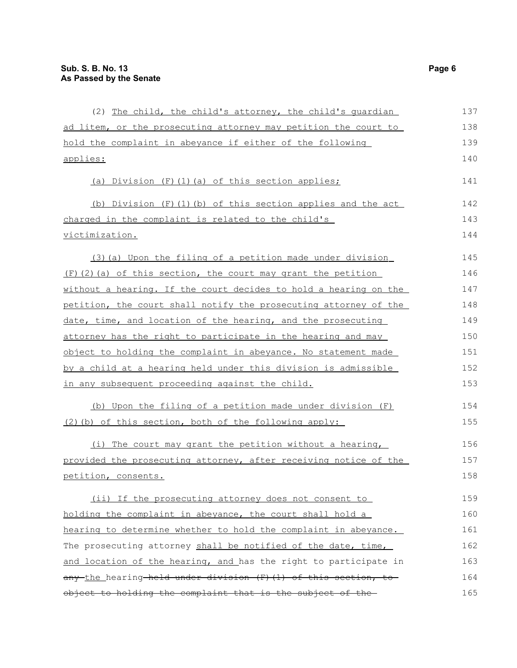| (2) The child, the child's attorney, the child's quardian        | 137 |
|------------------------------------------------------------------|-----|
| ad litem, or the prosecuting attorney may petition the court to  | 138 |
| hold the complaint in abeyance if either of the following        | 139 |
| applies:                                                         | 140 |
| (a) Division (F) (1) (a) of this section applies;                | 141 |
| (b) Division (F)(1)(b) of this section applies and the act       | 142 |
| charged in the complaint is related to the child's               | 143 |
| <u>victimization.</u>                                            | 144 |
| (3) (a) Upon the filing of a petition made under division        | 145 |
| $(F)$ (2) (a) of this section, the court may grant the petition  | 146 |
| without a hearing. If the court decides to hold a hearing on the | 147 |
| petition, the court shall notify the prosecuting attorney of the | 148 |
| date, time, and location of the hearing, and the prosecuting     | 149 |
| attorney has the right to participate in the hearing and may     | 150 |
| object to holding the complaint in abeyance. No statement made   | 151 |
| by a child at a hearing held under this division is admissible   | 152 |
| in any subsequent proceeding against the child.                  | 153 |
| (b) Upon the filing of a petition made under division (F)        | 154 |
| (2) (b) of this section, both of the following apply:            | 155 |
| (i) The court may grant the petition without a hearing,          | 156 |
| provided the prosecuting attorney, after receiving notice of the | 157 |
| petition, consents.                                              | 158 |
| (ii) If the prosecuting attorney does not consent to             | 159 |
| holding the complaint in abeyance, the court shall hold a        | 160 |
| hearing to determine whether to hold the complaint in abeyance.  | 161 |
| The prosecuting attorney shall be notified of the date, time,    | 162 |
| and location of the hearing, and has the right to participate in | 163 |
| any the hearing held under division (F) (1) of this section, to  | 164 |
| object to holding the complaint that is the subject of the-      | 165 |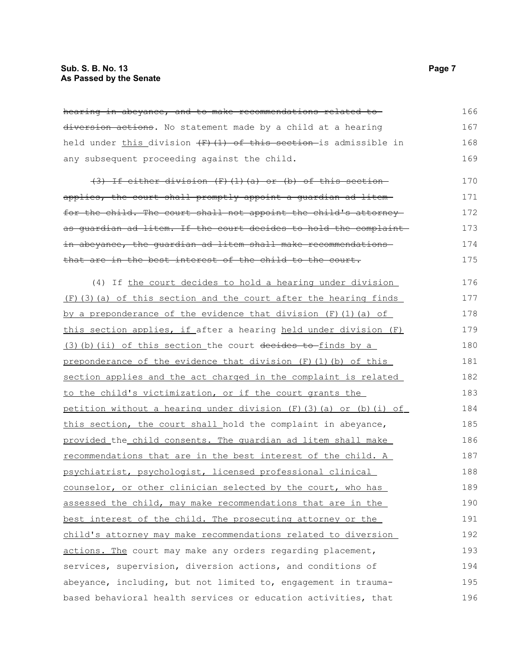hearing in abeyance, and to make recommendations related to diversion actions. No statement made by a child at a hearing held under this division  $(F)$  (1) of this section is admissible in any subsequent proceeding against the child. 166 167 168 169

(3) If either division (F)(1)(a) or (b) of this section applies, the court shall promptly appoint a guardian ad litem for the child. The court shall not appoint the child's attorney as guardian ad litem. If the court decides to hold the complaint in abeyance, the quardian ad litem shall make recommendations that are in the best interest of the child to the court. 170 171 172 173 174 175

(4) If the court decides to hold a hearing under division (F)(3)(a) of this section and the court after the hearing finds by a preponderance of the evidence that division  $(F)$  (1)(a) of this section applies, if after a hearing held under division (F)  $(3)$  (b) (ii) of this section the court decides to finds by a preponderance of the evidence that division (F)(1)(b) of this section applies and the act charged in the complaint is related to the child's victimization, or if the court grants the petition without a hearing under division (F)(3)(a) or (b)(i) of this section, the court shall hold the complaint in abeyance, provided the child consents . The guardian ad litem shall make recommendations that are in the best interest of the child. A psychiatrist, psychologist, licensed professional clinical counselor, or other clinician selected by the court, who has assessed the child, may make recommendations that are in the best interest of the child. The prosecuting attorney or the child's attorney may make recommendations related to diversion actions. The court may make any orders regarding placement, services, supervision, diversion actions, and conditions of abeyance, including, but not limited to, engagement in traumabased behavioral health services or education activities, that 176 177 178 179 180 181 182 183 184 185 186 187 188 189 190 191 192 193 194 195 196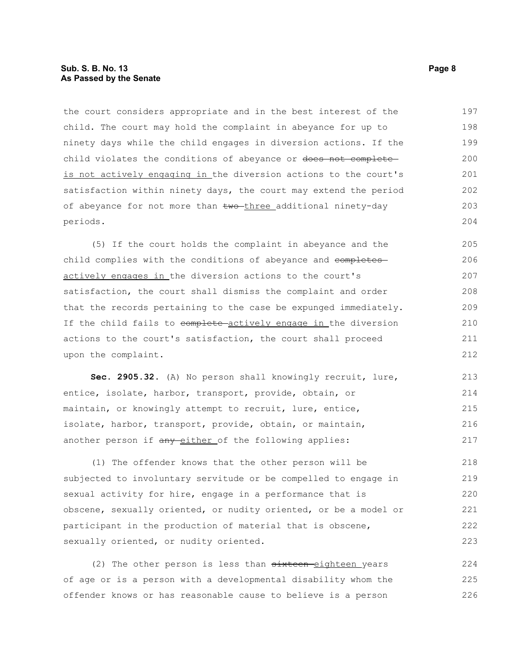#### **Sub. S. B. No. 13 Page 8 As Passed by the Senate**

the court considers appropriate and in the best interest of the child. The court may hold the complaint in abeyance for up to ninety days while the child engages in diversion actions. If the child violates the conditions of abeyance or does not completeis not actively engaging in the diversion actions to the court's satisfaction within ninety days, the court may extend the period of abeyance for not more than  $two$ -three additional ninety-day periods. 197 198 199 200 201 202 203 204

(5) If the court holds the complaint in abeyance and the child complies with the conditions of abeyance and completes actively engages in the diversion actions to the court's satisfaction, the court shall dismiss the complaint and order that the records pertaining to the case be expunged immediately. If the child fails to complete actively engage in the diversion actions to the court's satisfaction, the court shall proceed upon the complaint. 205 206 207 208 209 210 211 212

**Sec. 2905.32.** (A) No person shall knowingly recruit, lure, entice, isolate, harbor, transport, provide, obtain, or maintain, or knowingly attempt to recruit, lure, entice, isolate, harbor, transport, provide, obtain, or maintain, another person if any either of the following applies: 213 214 215 216 217

(1) The offender knows that the other person will be subjected to involuntary servitude or be compelled to engage in sexual activity for hire, engage in a performance that is obscene, sexually oriented, or nudity oriented, or be a model or participant in the production of material that is obscene, sexually oriented, or nudity oriented. 218 219 220 221 222 223

(2) The other person is less than  $\frac{3}{2}$  sixteen-eighteen years of age or is a person with a developmental disability whom the offender knows or has reasonable cause to believe is a person 224 225 226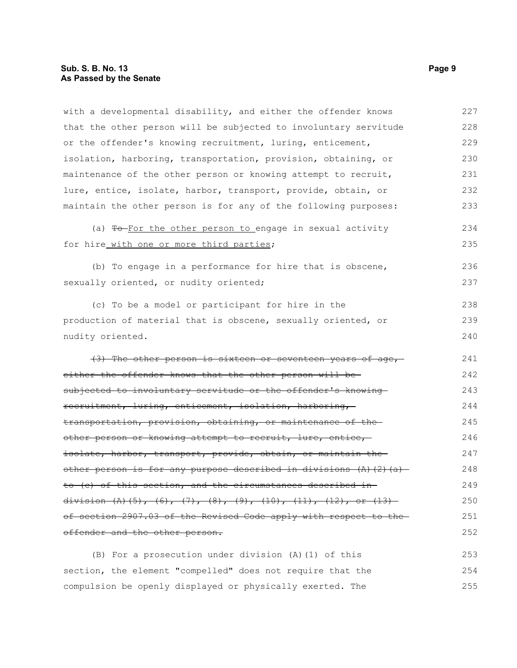### **Sub. S. B. No. 13 Page 9 As Passed by the Senate**

| with a developmental disability, and either the offender knows   | 227 |
|------------------------------------------------------------------|-----|
| that the other person will be subjected to involuntary servitude | 228 |
| or the offender's knowing recruitment, luring, enticement,       | 229 |
| isolation, harboring, transportation, provision, obtaining, or   | 230 |
| maintenance of the other person or knowing attempt to recruit,   | 231 |
| lure, entice, isolate, harbor, transport, provide, obtain, or    | 232 |
| maintain the other person is for any of the following purposes:  | 233 |
| (a) To-For the other person to engage in sexual activity         | 234 |
| for hire with one or more third parties;                         | 235 |
| (b) To engage in a performance for hire that is obscene,         | 236 |
| sexually oriented, or nudity oriented;                           | 237 |
| (c) To be a model or participant for hire in the                 | 238 |
| production of material that is obscene, sexually oriented, or    | 239 |
| nudity oriented.                                                 | 240 |
| (3) The other person is sixteen or seventeen years of age,       | 241 |
| either the offender knows that the other person will be-         | 242 |
| subjected to involuntary servitude or the offender's knowing     | 243 |
| recruitment, luring, enticement, isolation, harboring,           | 244 |
| transportation, provision, obtaining, or maintenance of the      | 245 |
| other person or knowing attempt to recruit, lure, entice,        | 246 |
| isolate, harbor, transport, provide, obtain, or maintain the     | 247 |
| other person is for any purpose described in divisions (A)(2)(a) | 248 |
| to (c) of this section, and the circumstances described in-      | 249 |
| division (A)(5), (6), (7), (8), (9), (10), (11), (12), or (13)   | 250 |
| of section 2907.03 of the Revised Code apply with respect to the | 251 |
| offender and the other person.                                   | 252 |
| (B) For a prosecution under division (A) (1) of this             | 253 |
| section, the element "compelled" does not require that the       | 254 |
| compulsion be openly displayed or physically exerted. The        | 255 |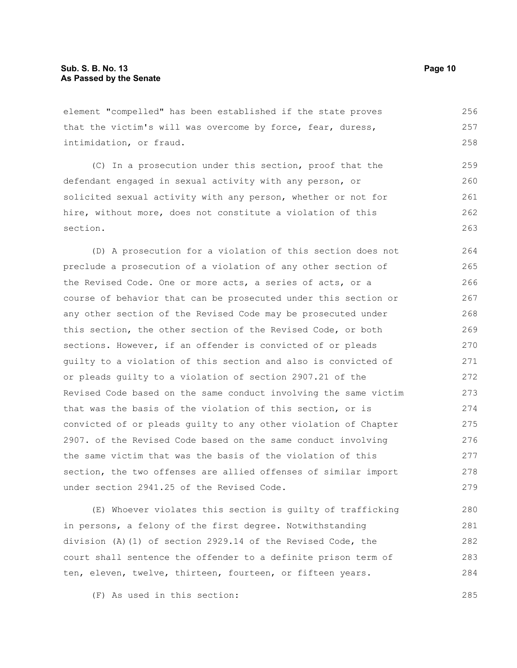element "compelled" has been established if the state proves that the victim's will was overcome by force, fear, duress, intimidation, or fraud. 256 257 258

(C) In a prosecution under this section, proof that the defendant engaged in sexual activity with any person, or solicited sexual activity with any person, whether or not for hire, without more, does not constitute a violation of this section. 259 260 261 262 263

(D) A prosecution for a violation of this section does not preclude a prosecution of a violation of any other section of the Revised Code. One or more acts, a series of acts, or a course of behavior that can be prosecuted under this section or any other section of the Revised Code may be prosecuted under this section, the other section of the Revised Code, or both sections. However, if an offender is convicted of or pleads guilty to a violation of this section and also is convicted of or pleads guilty to a violation of section 2907.21 of the Revised Code based on the same conduct involving the same victim that was the basis of the violation of this section, or is convicted of or pleads guilty to any other violation of Chapter 2907. of the Revised Code based on the same conduct involving the same victim that was the basis of the violation of this section, the two offenses are allied offenses of similar import under section 2941.25 of the Revised Code. 264 265 266 267 268 269 270 271 272 273 274 275 276 277 278 279

(E) Whoever violates this section is guilty of trafficking in persons, a felony of the first degree. Notwithstanding division (A)(1) of section 2929.14 of the Revised Code, the court shall sentence the offender to a definite prison term of ten, eleven, twelve, thirteen, fourteen, or fifteen years. 280 281 282 283 284

(F) As used in this section: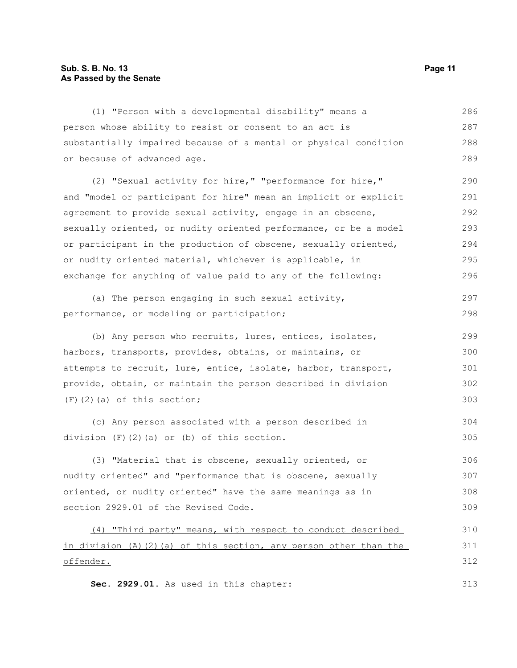#### **Sub. S. B. No. 13 Page 11 As Passed by the Senate**

(1) "Person with a developmental disability" means a person whose ability to resist or consent to an act is substantially impaired because of a mental or physical condition or because of advanced age. (2) "Sexual activity for hire," "performance for hire," and "model or participant for hire" mean an implicit or explicit agreement to provide sexual activity, engage in an obscene, sexually oriented, or nudity oriented performance, or be a model or participant in the production of obscene, sexually oriented, or nudity oriented material, whichever is applicable, in exchange for anything of value paid to any of the following: (a) The person engaging in such sexual activity, performance, or modeling or participation; (b) Any person who recruits, lures, entices, isolates, harbors, transports, provides, obtains, or maintains, or attempts to recruit, lure, entice, isolate, harbor, transport, provide, obtain, or maintain the person described in division (F)(2)(a) of this section; (c) Any person associated with a person described in division (F)(2)(a) or (b) of this section. (3) "Material that is obscene, sexually oriented, or nudity oriented" and "performance that is obscene, sexually oriented, or nudity oriented" have the same meanings as in section 2929.01 of the Revised Code. (4) "Third party" means, with respect to conduct described in division (A)(2)(a) of this section, any person other than the offender. **Sec. 2929.01.** As used in this chapter: 286 287 288 289 290 291 292 293 294 295 296 297 298 299 300 301 302 303 304 305 306 307 308 309 310 311 312 313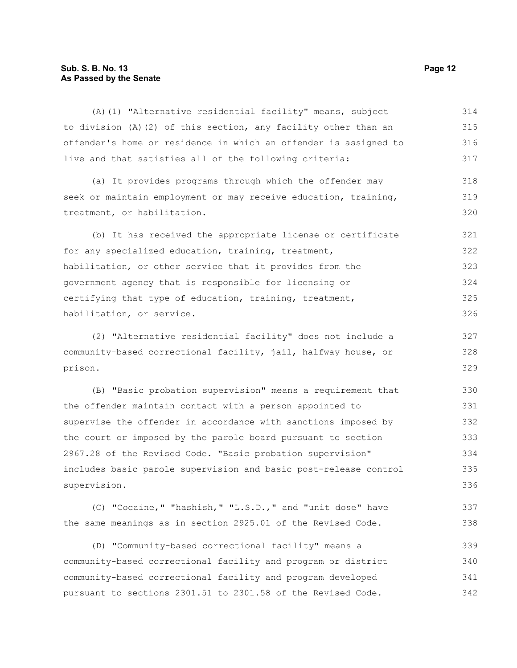#### **Sub. S. B. No. 13 Page 12 As Passed by the Senate**

(A)(1) "Alternative residential facility" means, subject to division (A)(2) of this section, any facility other than an offender's home or residence in which an offender is assigned to live and that satisfies all of the following criteria: 314 315 316 317

(a) It provides programs through which the offender may seek or maintain employment or may receive education, training, treatment, or habilitation. 318 319 320

(b) It has received the appropriate license or certificate for any specialized education, training, treatment, habilitation, or other service that it provides from the government agency that is responsible for licensing or certifying that type of education, training, treatment, habilitation, or service. 321 322 323 324 325 326

(2) "Alternative residential facility" does not include a community-based correctional facility, jail, halfway house, or prison. 327 328 329

(B) "Basic probation supervision" means a requirement that the offender maintain contact with a person appointed to supervise the offender in accordance with sanctions imposed by the court or imposed by the parole board pursuant to section 2967.28 of the Revised Code. "Basic probation supervision" includes basic parole supervision and basic post-release control supervision. 330 331 332 333 334 335 336

(C) "Cocaine," "hashish," "L.S.D.," and "unit dose" have the same meanings as in section 2925.01 of the Revised Code. 337 338

(D) "Community-based correctional facility" means a community-based correctional facility and program or district community-based correctional facility and program developed pursuant to sections 2301.51 to 2301.58 of the Revised Code. 339 340 341 342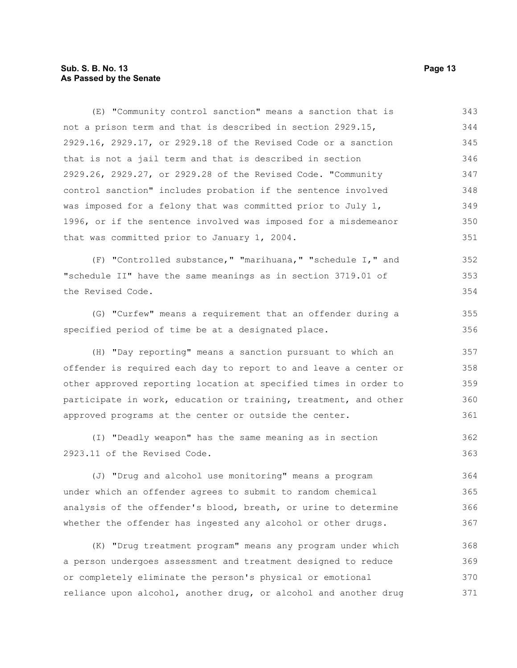#### **Sub. S. B. No. 13 Page 13 As Passed by the Senate**

(E) "Community control sanction" means a sanction that is not a prison term and that is described in section 2929.15, 2929.16, 2929.17, or 2929.18 of the Revised Code or a sanction that is not a jail term and that is described in section 2929.26, 2929.27, or 2929.28 of the Revised Code. "Community control sanction" includes probation if the sentence involved was imposed for a felony that was committed prior to July 1, 1996, or if the sentence involved was imposed for a misdemeanor that was committed prior to January 1, 2004. 343 344 345 346 347 348 349 350 351

(F) "Controlled substance," "marihuana," "schedule I," and "schedule II" have the same meanings as in section 3719.01 of the Revised Code. 352 353 354

(G) "Curfew" means a requirement that an offender during a specified period of time be at a designated place.

(H) "Day reporting" means a sanction pursuant to which an offender is required each day to report to and leave a center or other approved reporting location at specified times in order to participate in work, education or training, treatment, and other approved programs at the center or outside the center. 357 358 359 360 361

(I) "Deadly weapon" has the same meaning as in section 2923.11 of the Revised Code. 362 363

(J) "Drug and alcohol use monitoring" means a program under which an offender agrees to submit to random chemical analysis of the offender's blood, breath, or urine to determine whether the offender has ingested any alcohol or other drugs. 364 365 366 367

(K) "Drug treatment program" means any program under which a person undergoes assessment and treatment designed to reduce or completely eliminate the person's physical or emotional reliance upon alcohol, another drug, or alcohol and another drug 368 369 370 371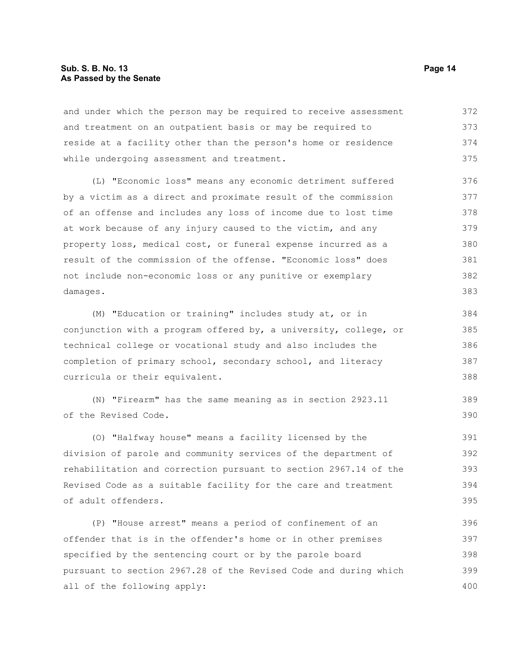#### **Sub. S. B. No. 13 Page 14 As Passed by the Senate**

and under which the person may be required to receive assessment and treatment on an outpatient basis or may be required to reside at a facility other than the person's home or residence while undergoing assessment and treatment. 372 373 374 375

(L) "Economic loss" means any economic detriment suffered by a victim as a direct and proximate result of the commission of an offense and includes any loss of income due to lost time at work because of any injury caused to the victim, and any property loss, medical cost, or funeral expense incurred as a result of the commission of the offense. "Economic loss" does not include non-economic loss or any punitive or exemplary damages. 376 377 378 379 380 381 382 383

(M) "Education or training" includes study at, or in conjunction with a program offered by, a university, college, or technical college or vocational study and also includes the completion of primary school, secondary school, and literacy curricula or their equivalent.

(N) "Firearm" has the same meaning as in section 2923.11 of the Revised Code.

(O) "Halfway house" means a facility licensed by the division of parole and community services of the department of rehabilitation and correction pursuant to section 2967.14 of the Revised Code as a suitable facility for the care and treatment of adult offenders. 391 392 393 394 395

(P) "House arrest" means a period of confinement of an offender that is in the offender's home or in other premises specified by the sentencing court or by the parole board pursuant to section 2967.28 of the Revised Code and during which all of the following apply: 396 397 398 399 400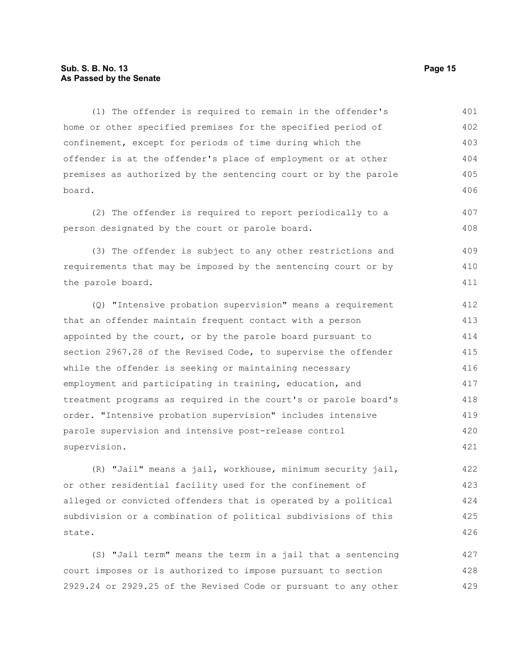#### **Sub. S. B. No. 13 Page 15 As Passed by the Senate**

(1) The offender is required to remain in the offender's home or other specified premises for the specified period of confinement, except for periods of time during which the offender is at the offender's place of employment or at other premises as authorized by the sentencing court or by the parole board. 401 402 403 404 405 406

(2) The offender is required to report periodically to a person designated by the court or parole board. 407 408

(3) The offender is subject to any other restrictions and requirements that may be imposed by the sentencing court or by the parole board. 409 410 411

(Q) "Intensive probation supervision" means a requirement that an offender maintain frequent contact with a person appointed by the court, or by the parole board pursuant to section 2967.28 of the Revised Code, to supervise the offender while the offender is seeking or maintaining necessary employment and participating in training, education, and treatment programs as required in the court's or parole board's order. "Intensive probation supervision" includes intensive parole supervision and intensive post-release control supervision. 412 413 414 415 416 417 418 419 420 421

(R) "Jail" means a jail, workhouse, minimum security jail, or other residential facility used for the confinement of alleged or convicted offenders that is operated by a political subdivision or a combination of political subdivisions of this state. 422 423 424 425 426

(S) "Jail term" means the term in a jail that a sentencing court imposes or is authorized to impose pursuant to section 2929.24 or 2929.25 of the Revised Code or pursuant to any other 427 428 429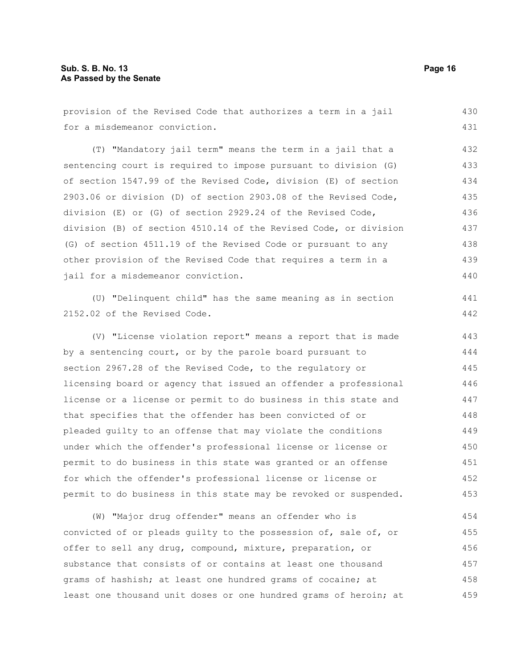| provision of the Revised Code that authorizes a term in a jail   | 430 |
|------------------------------------------------------------------|-----|
| for a misdemeanor conviction.                                    | 431 |
| (T) "Mandatory jail term" means the term in a jail that a        | 432 |
| sentencing court is required to impose pursuant to division (G)  | 433 |
| of section 1547.99 of the Revised Code, division (E) of section  | 434 |
| 2903.06 or division (D) of section 2903.08 of the Revised Code,  | 435 |
| division (E) or (G) of section 2929.24 of the Revised Code,      | 436 |
| division (B) of section 4510.14 of the Revised Code, or division | 437 |
| (G) of section 4511.19 of the Revised Code or pursuant to any    | 438 |
| other provision of the Revised Code that requires a term in a    | 439 |
| jail for a misdemeanor conviction.                               | 440 |
| (U) "Delinquent child" has the same meaning as in section        | 441 |
| 2152.02 of the Revised Code.                                     | 442 |
|                                                                  |     |
| (V) "License violation report" means a report that is made       | 443 |
| by a sentencing court, or by the parole board pursuant to        | 444 |
| section 2967.28 of the Revised Code, to the regulatory or        | 445 |
| licensing board or agency that issued an offender a professional | 446 |
| license or a license or permit to do business in this state and  | 447 |
| that specifies that the offender has been convicted of or        | 448 |
| pleaded quilty to an offense that may violate the conditions     | 449 |
| under which the offender's professional license or license or    | 450 |
| permit to do business in this state was granted or an offense    | 451 |
| for which the offender's professional license or license or      | 452 |
| permit to do business in this state may be revoked or suspended. | 453 |
| (W) "Major drug offender" means an offender who is               | 454 |

offer to sell any drug, compound, mixture, preparation, or substance that consists of or contains at least one thousand grams of hashish; at least one hundred grams of cocaine; at least one thousand unit doses or one hundred grams of heroin; at 456 457 458 459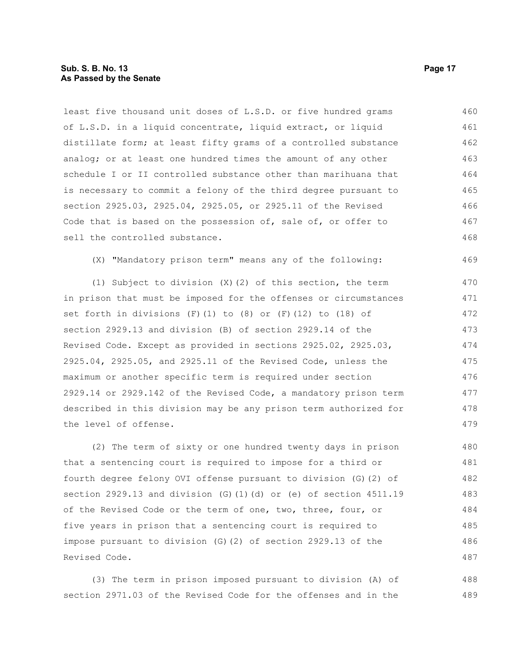#### **Sub. S. B. No. 13 Page 17 As Passed by the Senate**

least five thousand unit doses of L.S.D. or five hundred grams of L.S.D. in a liquid concentrate, liquid extract, or liquid distillate form; at least fifty grams of a controlled substance analog; or at least one hundred times the amount of any other schedule I or II controlled substance other than marihuana that is necessary to commit a felony of the third degree pursuant to section 2925.03, 2925.04, 2925.05, or 2925.11 of the Revised Code that is based on the possession of, sale of, or offer to sell the controlled substance. 460 461 462 463 464 465 466 467 468

(X) "Mandatory prison term" means any of the following:

(1) Subject to division (X)(2) of this section, the term in prison that must be imposed for the offenses or circumstances set forth in divisions  $(F)(1)$  to  $(8)$  or  $(F)(12)$  to  $(18)$  of section 2929.13 and division (B) of section 2929.14 of the Revised Code. Except as provided in sections 2925.02, 2925.03, 2925.04, 2925.05, and 2925.11 of the Revised Code, unless the maximum or another specific term is required under section 2929.14 or 2929.142 of the Revised Code, a mandatory prison term described in this division may be any prison term authorized for the level of offense. 470 471 473 474 475 477

(2) The term of sixty or one hundred twenty days in prison that a sentencing court is required to impose for a third or fourth degree felony OVI offense pursuant to division (G)(2) of section 2929.13 and division (G)(1)(d) or (e) of section 4511.19 of the Revised Code or the term of one, two, three, four, or five years in prison that a sentencing court is required to impose pursuant to division (G)(2) of section 2929.13 of the Revised Code. 480 481 482 483 484 485 486 487

(3) The term in prison imposed pursuant to division (A) of section 2971.03 of the Revised Code for the offenses and in the 488 489

469

472

476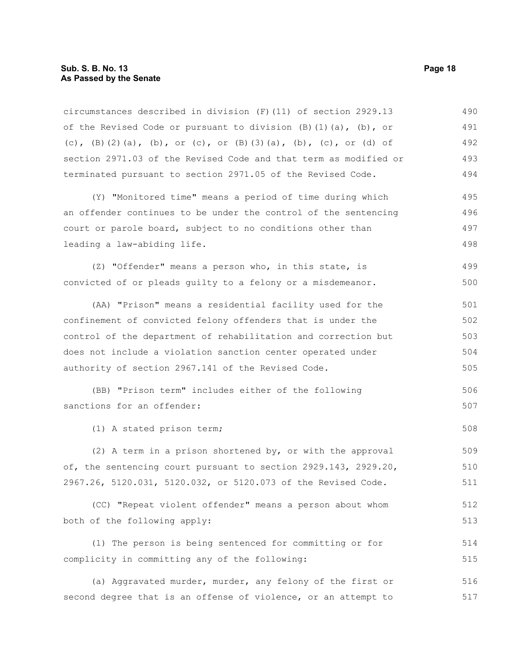#### **Sub. S. B. No. 13 Page 18 As Passed by the Senate**

circumstances described in division (F)(11) of section 2929.13 of the Revised Code or pursuant to division (B)(1)(a), (b), or (c),  $(B)$ (2)(a), (b), or (c), or  $(B)$ (3)(a), (b), (c), or (d) of section 2971.03 of the Revised Code and that term as modified or terminated pursuant to section 2971.05 of the Revised Code. 490 491 492 493 494

(Y) "Monitored time" means a period of time during which an offender continues to be under the control of the sentencing court or parole board, subject to no conditions other than leading a law-abiding life. 495 496 497 498

(Z) "Offender" means a person who, in this state, is convicted of or pleads guilty to a felony or a misdemeanor. 499 500

(AA) "Prison" means a residential facility used for the confinement of convicted felony offenders that is under the control of the department of rehabilitation and correction but does not include a violation sanction center operated under authority of section 2967.141 of the Revised Code. 501 502 503 504 505

```
(BB) "Prison term" includes either of the following
sanctions for an offender:
                                                                            506
                                                                            507
```
(1) A stated prison term;

(2) A term in a prison shortened by, or with the approval of, the sentencing court pursuant to section 2929.143, 2929.20, 2967.26, 5120.031, 5120.032, or 5120.073 of the Revised Code. 509 510 511

(CC) "Repeat violent offender" means a person about whom both of the following apply: 512 513

(1) The person is being sentenced for committing or for complicity in committing any of the following: 514 515

(a) Aggravated murder, murder, any felony of the first or second degree that is an offense of violence, or an attempt to 516 517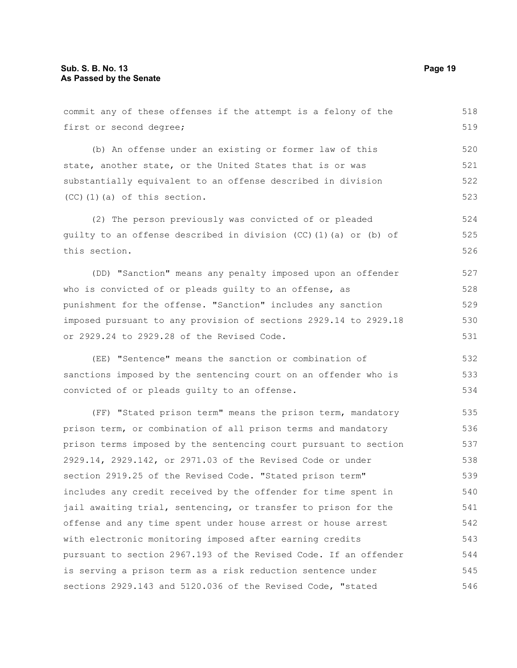commit any of these offenses if the attempt is a felony of the first or second degree; (b) An offense under an existing or former law of this state, another state, or the United States that is or was substantially equivalent to an offense described in division (CC)(1)(a) of this section. (2) The person previously was convicted of or pleaded guilty to an offense described in division (CC)(1)(a) or (b) of this section. (DD) "Sanction" means any penalty imposed upon an offender who is convicted of or pleads quilty to an offense, as punishment for the offense. "Sanction" includes any sanction imposed pursuant to any provision of sections 2929.14 to 2929.18 or 2929.24 to 2929.28 of the Revised Code. (EE) "Sentence" means the sanction or combination of sanctions imposed by the sentencing court on an offender who is convicted of or pleads guilty to an offense. (FF) "Stated prison term" means the prison term, mandatory prison term, or combination of all prison terms and mandatory prison terms imposed by the sentencing court pursuant to section 2929.14, 2929.142, or 2971.03 of the Revised Code or under section 2919.25 of the Revised Code. "Stated prison term" includes any credit received by the offender for time spent in jail awaiting trial, sentencing, or transfer to prison for the offense and any time spent under house arrest or house arrest with electronic monitoring imposed after earning credits pursuant to section 2967.193 of the Revised Code. If an offender is serving a prison term as a risk reduction sentence under 518 519 520 521 522 523 524 525 526 527 528 529 530 531 532 533 534 535 536 537 538 539 540 541 542 543 544 545

sections 2929.143 and 5120.036 of the Revised Code, "stated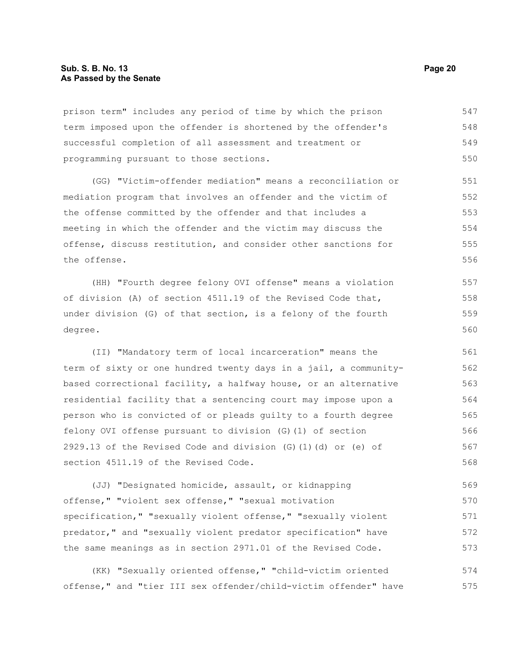prison term" includes any period of time by which the prison term imposed upon the offender is shortened by the offender's successful completion of all assessment and treatment or programming pursuant to those sections. 547 548 549 550

(GG) "Victim-offender mediation" means a reconciliation or mediation program that involves an offender and the victim of the offense committed by the offender and that includes a meeting in which the offender and the victim may discuss the offense, discuss restitution, and consider other sanctions for the offense. 551 552 553 554 555 556

(HH) "Fourth degree felony OVI offense" means a violation of division (A) of section 4511.19 of the Revised Code that, under division (G) of that section, is a felony of the fourth degree. 557 558 559 560

(II) "Mandatory term of local incarceration" means the term of sixty or one hundred twenty days in a jail, a communitybased correctional facility, a halfway house, or an alternative residential facility that a sentencing court may impose upon a person who is convicted of or pleads guilty to a fourth degree felony OVI offense pursuant to division (G)(1) of section 2929.13 of the Revised Code and division (G)(1)(d) or (e) of section 4511.19 of the Revised Code. 561 562 563 564 565 566 567 568

(JJ) "Designated homicide, assault, or kidnapping offense," "violent sex offense," "sexual motivation specification," "sexually violent offense," "sexually violent predator," and "sexually violent predator specification" have the same meanings as in section 2971.01 of the Revised Code. 569 570 571 572 573

(KK) "Sexually oriented offense," "child-victim oriented offense," and "tier III sex offender/child-victim offender" have 574 575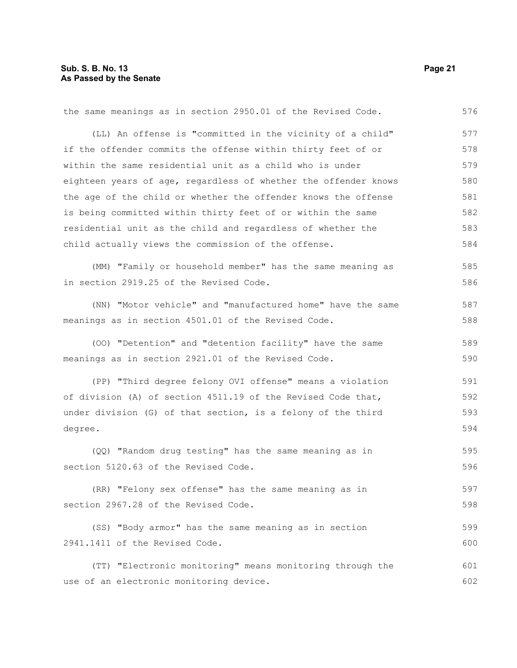2941.1411 of the Revised Code.

the same meanings as in section 2950.01 of the Revised Code. (LL) An offense is "committed in the vicinity of a child" if the offender commits the offense within thirty feet of or within the same residential unit as a child who is under eighteen years of age, regardless of whether the offender knows the age of the child or whether the offender knows the offense is being committed within thirty feet of or within the same residential unit as the child and regardless of whether the child actually views the commission of the offense. (MM) "Family or household member" has the same meaning as in section 2919.25 of the Revised Code. (NN) "Motor vehicle" and "manufactured home" have the same meanings as in section 4501.01 of the Revised Code. (OO) "Detention" and "detention facility" have the same meanings as in section 2921.01 of the Revised Code. (PP) "Third degree felony OVI offense" means a violation of division (A) of section 4511.19 of the Revised Code that, under division (G) of that section, is a felony of the third degree. (QQ) "Random drug testing" has the same meaning as in section 5120.63 of the Revised Code. (RR) "Felony sex offense" has the same meaning as in section 2967.28 of the Revised Code. (SS) "Body armor" has the same meaning as in section 576 577 578 579 580 581 582 583 584 585 586 587 588 589 590 591 592 593 594 595 596 597 598 599

(TT) "Electronic monitoring" means monitoring through the use of an electronic monitoring device. 601 602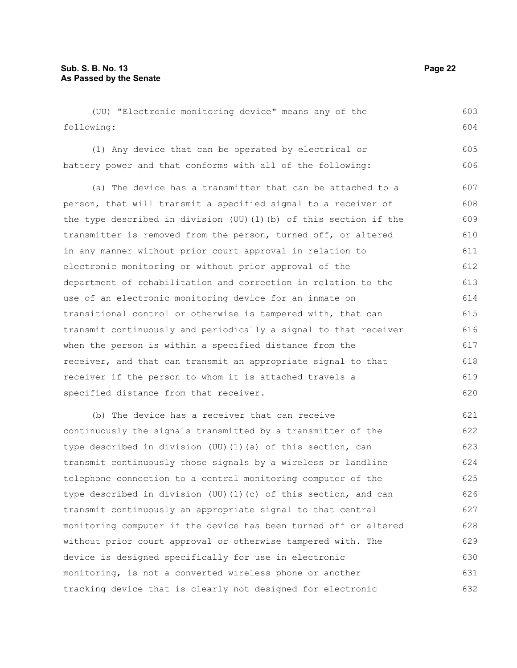(UU) "Electronic monitoring device" means any of the following: (1) Any device that can be operated by electrical or battery power and that conforms with all of the following: (a) The device has a transmitter that can be attached to a person, that will transmit a specified signal to a receiver of the type described in division (UU)(1)(b) of this section if the transmitter is removed from the person, turned off, or altered in any manner without prior court approval in relation to electronic monitoring or without prior approval of the department of rehabilitation and correction in relation to the use of an electronic monitoring device for an inmate on transitional control or otherwise is tampered with, that can transmit continuously and periodically a signal to that receiver when the person is within a specified distance from the receiver, and that can transmit an appropriate signal to that receiver if the person to whom it is attached travels a specified distance from that receiver. (b) The device has a receiver that can receive continuously the signals transmitted by a transmitter of the type described in division (UU)(1)(a) of this section, can transmit continuously those signals by a wireless or landline telephone connection to a central monitoring computer of the 603 604 605 606 607 608 609 610 611 612 613 614 615 616 617 618 619 620 621 622 623 624 625

type described in division (UU)(1)(c) of this section, and can transmit continuously an appropriate signal to that central monitoring computer if the device has been turned off or altered without prior court approval or otherwise tampered with. The device is designed specifically for use in electronic monitoring, is not a converted wireless phone or another tracking device that is clearly not designed for electronic 626 627 628 629 630 631 632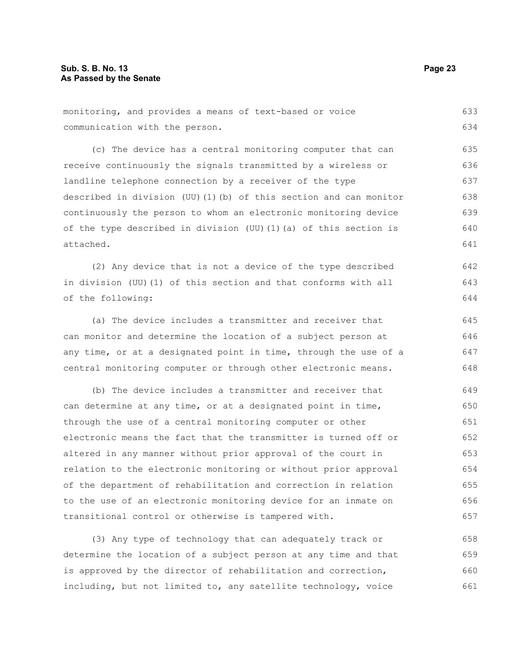| monitoring, and provides a means of text-based or voice |  |  | 633 |
|---------------------------------------------------------|--|--|-----|
| communication with the person.                          |  |  | 634 |

(c) The device has a central monitoring computer that can receive continuously the signals transmitted by a wireless or landline telephone connection by a receiver of the type described in division (UU)(1)(b) of this section and can monitor continuously the person to whom an electronic monitoring device of the type described in division (UU)(1)(a) of this section is attached. 635 636 637 638 639 640 641

(2) Any device that is not a device of the type described in division (UU)(1) of this section and that conforms with all of the following: 642 643 644

(a) The device includes a transmitter and receiver that can monitor and determine the location of a subject person at any time, or at a designated point in time, through the use of a central monitoring computer or through other electronic means. 645 646 647 648

(b) The device includes a transmitter and receiver that can determine at any time, or at a designated point in time, through the use of a central monitoring computer or other electronic means the fact that the transmitter is turned off or altered in any manner without prior approval of the court in relation to the electronic monitoring or without prior approval of the department of rehabilitation and correction in relation to the use of an electronic monitoring device for an inmate on transitional control or otherwise is tampered with. 649 650 651 652 653 654 655 656 657

(3) Any type of technology that can adequately track or determine the location of a subject person at any time and that is approved by the director of rehabilitation and correction, including, but not limited to, any satellite technology, voice 658 659 660 661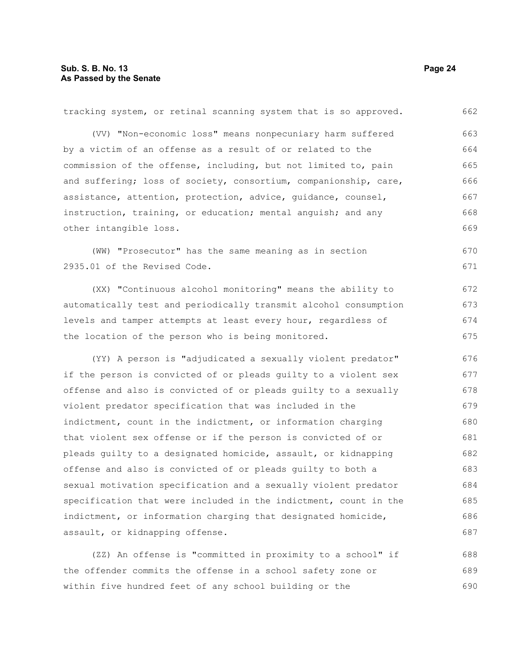| tracking system, or retinal scanning system that is so approved. | 662 |
|------------------------------------------------------------------|-----|
| (VV) "Non-economic loss" means nonpecuniary harm suffered        | 663 |
| by a victim of an offense as a result of or related to the       | 664 |
| commission of the offense, including, but not limited to, pain   | 665 |
| and suffering; loss of society, consortium, companionship, care, | 666 |
| assistance, attention, protection, advice, quidance, counsel,    | 667 |
| instruction, training, or education; mental anguish; and any     | 668 |
| other intangible loss.                                           | 669 |
| (WW) "Prosecutor" has the same meaning as in section             | 670 |
| 2935.01 of the Revised Code.                                     | 671 |
| (XX) "Continuous alcohol monitoring" means the ability to        | 672 |
| automatically test and periodically transmit alcohol consumption | 673 |
| levels and tamper attempts at least every hour, regardless of    | 674 |
| the location of the person who is being monitored.               | 675 |
| (YY) A person is "adjudicated a sexually violent predator"       | 676 |
| if the person is convicted of or pleads guilty to a violent sex  | 677 |
| offense and also is convicted of or pleads guilty to a sexually  | 678 |
| violent predator specification that was included in the          | 679 |
| indictment, count in the indictment, or information charging     | 680 |
| that violent sex offense or if the person is convicted of or     | 681 |
| pleads quilty to a designated homicide, assault, or kidnapping   | 682 |
| offense and also is convicted of or pleads guilty to both a      | 683 |
| sexual motivation specification and a sexually violent predator  | 684 |
| specification that were included in the indictment, count in the | 685 |
| indictment, or information charging that designated homicide,    | 686 |
| assault, or kidnapping offense.                                  | 687 |
| (ZZ) An offense is "committed in proximity to a school" if       | 688 |
| the offender commits the offense in a school safety zone or      | 689 |

within five hundred feet of any school building or the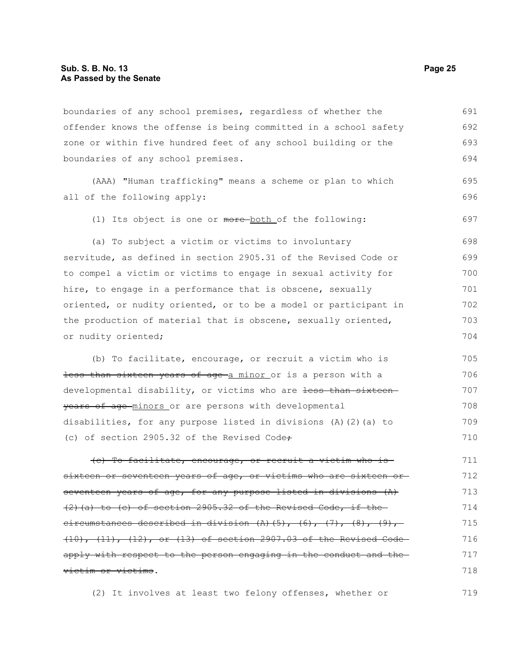boundaries of any school premises, regardless of whether the offender knows the offense is being committed in a school safety zone or within five hundred feet of any school building or the boundaries of any school premises. 691 692 693 694

(AAA) "Human trafficking" means a scheme or plan to which all of the following apply:

(1) Its object is one or more-both of the following:

(a) To subject a victim or victims to involuntary servitude, as defined in section 2905.31 of the Revised Code or to compel a victim or victims to engage in sexual activity for hire, to engage in a performance that is obscene, sexually oriented, or nudity oriented, or to be a model or participant in the production of material that is obscene, sexually oriented, or nudity oriented; 698 699 700 701 702 703 704

(b) To facilitate, encourage, or recruit a victim who is less than sixteen years of age a minor or is a person with a developmental disability, or victims who are less than sixteen years of age minors or are persons with developmental disabilities, for any purpose listed in divisions (A)(2)(a) to (c) of section 2905.32 of the Revised Code÷ 705 706 707 708 709 710

(c) To facilitate, encourage, or recruit a victim who is sixteen or seventeen years of age, or victims who are sixteen orseventeen years of age, for any purpose listed in divisions (A)  $(2)$  (a) to (c) of section 2905.32 of the Revised Code, if the circumstances described in division  $(A)$  (5),  $(6)$ ,  $(7)$ ,  $(8)$ ,  $(9)$ , (10), (11), (12), or (13) of section 2907.03 of the Revised Code apply with respect to the person engaging in the conduct and the victim or victims. 711 712 713 714 715 716 717 718

(2) It involves at least two felony offenses, whether or 719

695 696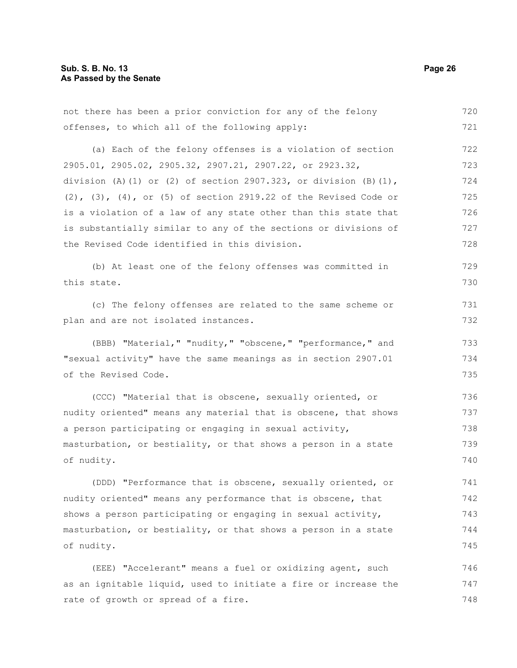rate of growth or spread of a fire.

not there has been a prior conviction for any of the felony offenses, to which all of the following apply: (a) Each of the felony offenses is a violation of section 2905.01, 2905.02, 2905.32, 2907.21, 2907.22, or 2923.32, division (A)(1) or (2) of section 2907.323, or division  $(B)(1)$ , (2), (3), (4), or (5) of section 2919.22 of the Revised Code or is a violation of a law of any state other than this state that is substantially similar to any of the sections or divisions of the Revised Code identified in this division. (b) At least one of the felony offenses was committed in this state. (c) The felony offenses are related to the same scheme or plan and are not isolated instances. (BBB) "Material," "nudity," "obscene," "performance," and "sexual activity" have the same meanings as in section 2907.01 of the Revised Code. (CCC) "Material that is obscene, sexually oriented, or nudity oriented" means any material that is obscene, that shows a person participating or engaging in sexual activity, masturbation, or bestiality, or that shows a person in a state of nudity. (DDD) "Performance that is obscene, sexually oriented, or nudity oriented" means any performance that is obscene, that shows a person participating or engaging in sexual activity, masturbation, or bestiality, or that shows a person in a state of nudity. (EEE) "Accelerant" means a fuel or oxidizing agent, such as an ignitable liquid, used to initiate a fire or increase the 720 721 722 723 724 725 726 727 728 729 730 731 732 733 734 735 736 737 738 739 740 741 742 743 744 745 746 747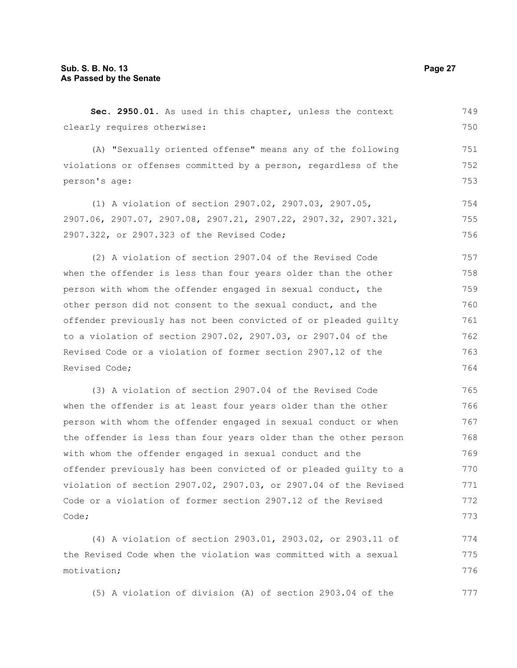**Sec. 2950.01.** As used in this chapter, unless the context clearly requires otherwise: (A) "Sexually oriented offense" means any of the following violations or offenses committed by a person, regardless of the person's age: (1) A violation of section 2907.02, 2907.03, 2907.05, 2907.06, 2907.07, 2907.08, 2907.21, 2907.22, 2907.32, 2907.321, 2907.322, or 2907.323 of the Revised Code; (2) A violation of section 2907.04 of the Revised Code when the offender is less than four years older than the other person with whom the offender engaged in sexual conduct, the other person did not consent to the sexual conduct, and the offender previously has not been convicted of or pleaded guilty to a violation of section 2907.02, 2907.03, or 2907.04 of the Revised Code or a violation of former section 2907.12 of the Revised Code; (3) A violation of section 2907.04 of the Revised Code when the offender is at least four years older than the other person with whom the offender engaged in sexual conduct or when the offender is less than four years older than the other person with whom the offender engaged in sexual conduct and the offender previously has been convicted of or pleaded guilty to a 749 750 751 752 753 754 755 756 757 758 759 760 761 762 763 764 765 766 767 768 769 770

violation of section 2907.02, 2907.03, or 2907.04 of the Revised Code or a violation of former section 2907.12 of the Revised Code; 771 772 773

(4) A violation of section 2903.01, 2903.02, or 2903.11 of the Revised Code when the violation was committed with a sexual motivation; 774 775 776

(5) A violation of division (A) of section 2903.04 of the 777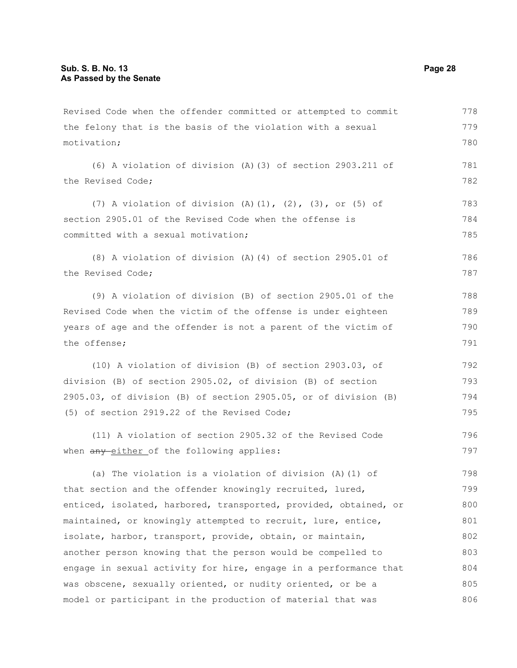Revised Code when the offender committed or attempted to commit the felony that is the basis of the violation with a sexual motivation; (6) A violation of division (A)(3) of section 2903.211 of the Revised Code; (7) A violation of division  $(A)$   $(1)$ ,  $(2)$ ,  $(3)$ , or  $(5)$  of section 2905.01 of the Revised Code when the offense is committed with a sexual motivation; (8) A violation of division (A)(4) of section 2905.01 of the Revised Code; (9) A violation of division (B) of section 2905.01 of the Revised Code when the victim of the offense is under eighteen years of age and the offender is not a parent of the victim of the offense; (10) A violation of division (B) of section 2903.03, of division (B) of section 2905.02, of division (B) of section 2905.03, of division (B) of section 2905.05, or of division (B) (5) of section 2919.22 of the Revised Code; (11) A violation of section 2905.32 of the Revised Code when any either of the following applies: (a) The violation is a violation of division (A)(1) of that section and the offender knowingly recruited, lured, 778 779 780 781 782 783 784 785 786 787 788 789 790 791 792 793 794 795 796 797 798 799

enticed, isolated, harbored, transported, provided, obtained, or maintained, or knowingly attempted to recruit, lure, entice, isolate, harbor, transport, provide, obtain, or maintain, another person knowing that the person would be compelled to engage in sexual activity for hire, engage in a performance that was obscene, sexually oriented, or nudity oriented, or be a model or participant in the production of material that was 800 801 802 803 804 805 806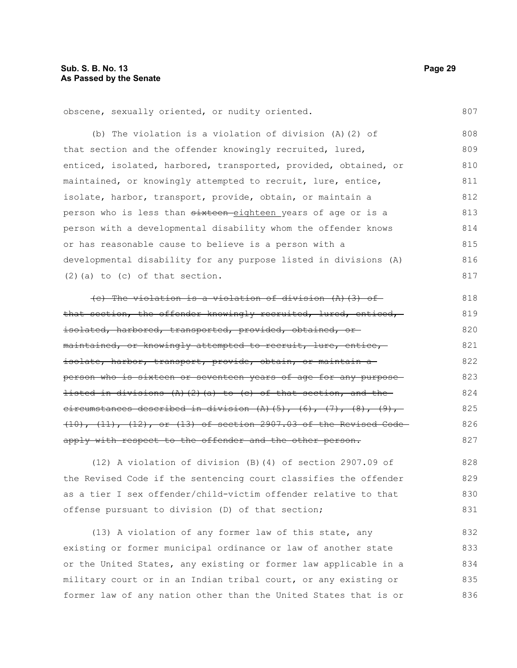obscene, sexually oriented, or nudity oriented.

(b) The violation is a violation of division (A)(2) of that section and the offender knowingly recruited, lured, enticed, isolated, harbored, transported, provided, obtained, or maintained, or knowingly attempted to recruit, lure, entice, isolate, harbor, transport, provide, obtain, or maintain a person who is less than sixteen eighteen years of age or is a person with a developmental disability whom the offender knows or has reasonable cause to believe is a person with a developmental disability for any purpose listed in divisions (A) (2)(a) to (c) of that section. 808 809 810 811 812 813 814 815 816 817

(c) The violation is a violation of division  $(A)$  (3) of that section, the offender knowingly recruited, lured, enticed, isolated, harbored, transported, provided, obtained, ormaintained, or knowingly attempted to recruit, lure, entice, isolate, harbor, transport, provide, obtain, or maintain aperson who is sixteen or seventeen years of age for any purpose listed in divisions  $(A)$   $(2)$   $(a)$  to  $(e)$  of that section, and the circumstances described in division  $(A)$   $(5)$ ,  $(6)$ ,  $(7)$ ,  $(8)$ ,  $(9)$ , (10), (11), (12), or (13) of section 2907.03 of the Revised Code apply with respect to the offender and the other person. 818 819 820 821 822 823 824 825 826 827

(12) A violation of division (B)(4) of section 2907.09 of the Revised Code if the sentencing court classifies the offender as a tier I sex offender/child-victim offender relative to that offense pursuant to division (D) of that section; 828 829 830 831

(13) A violation of any former law of this state, any existing or former municipal ordinance or law of another state or the United States, any existing or former law applicable in a military court or in an Indian tribal court, or any existing or former law of any nation other than the United States that is or 832 833 834 835 836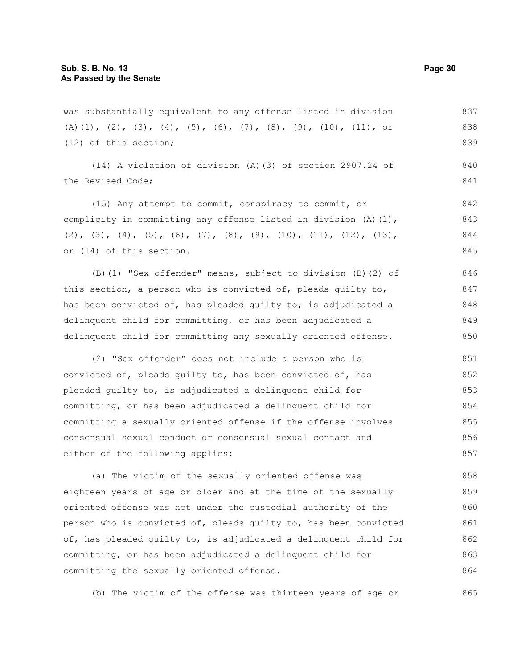was substantially equivalent to any offense listed in division (A)(1), (2), (3), (4), (5), (6), (7), (8), (9), (10), (11), or (12) of this section; (14) A violation of division (A)(3) of section 2907.24 of the Revised Code; (15) Any attempt to commit, conspiracy to commit, or complicity in committing any offense listed in division  $(A)$   $(1)$ , (2), (3), (4), (5), (6), (7), (8), (9), (10), (11), (12), (13), or (14) of this section. (B)(1) "Sex offender" means, subject to division (B)(2) of this section, a person who is convicted of, pleads guilty to, has been convicted of, has pleaded guilty to, is adjudicated a delinquent child for committing, or has been adjudicated a delinquent child for committing any sexually oriented offense. (2) "Sex offender" does not include a person who is convicted of, pleads guilty to, has been convicted of, has pleaded guilty to, is adjudicated a delinquent child for committing, or has been adjudicated a delinquent child for 837 838 839 840 841 842 843 844 845 846 847 848 849 850 851 852 853 854

committing a sexually oriented offense if the offense involves consensual sexual conduct or consensual sexual contact and either of the following applies: 855 856 857

(a) The victim of the sexually oriented offense was eighteen years of age or older and at the time of the sexually oriented offense was not under the custodial authority of the person who is convicted of, pleads guilty to, has been convicted of, has pleaded guilty to, is adjudicated a delinquent child for committing, or has been adjudicated a delinquent child for committing the sexually oriented offense. 858 859 860 861 862 863 864

(b) The victim of the offense was thirteen years of age or 865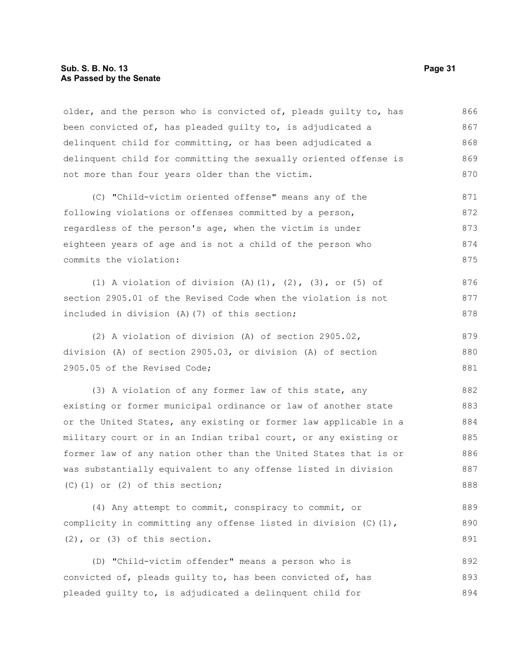#### **Sub. S. B. No. 13 Page 31 As Passed by the Senate**

older, and the person who is convicted of, pleads guilty to, has been convicted of, has pleaded guilty to, is adjudicated a delinquent child for committing, or has been adjudicated a delinquent child for committing the sexually oriented offense is not more than four years older than the victim. 866 867 868 869 870

(C) "Child-victim oriented offense" means any of the following violations or offenses committed by a person, regardless of the person's age, when the victim is under eighteen years of age and is not a child of the person who commits the violation: 871 872 873 874 875

(1) A violation of division (A)(1), (2), (3), or (5) of section 2905.01 of the Revised Code when the violation is not included in division (A)(7) of this section; 876 877 878

(2) A violation of division (A) of section 2905.02, division (A) of section 2905.03, or division (A) of section 2905.05 of the Revised Code; 879 880 881

(3) A violation of any former law of this state, any existing or former municipal ordinance or law of another state or the United States, any existing or former law applicable in a military court or in an Indian tribal court, or any existing or former law of any nation other than the United States that is or was substantially equivalent to any offense listed in division (C)(1) or (2) of this section; 882 883 884 885 886 887 888

(4) Any attempt to commit, conspiracy to commit, or complicity in committing any offense listed in division  $(C)$  (1), (2), or (3) of this section. 889 890 891

(D) "Child-victim offender" means a person who is convicted of, pleads guilty to, has been convicted of, has pleaded guilty to, is adjudicated a delinquent child for 892 893 894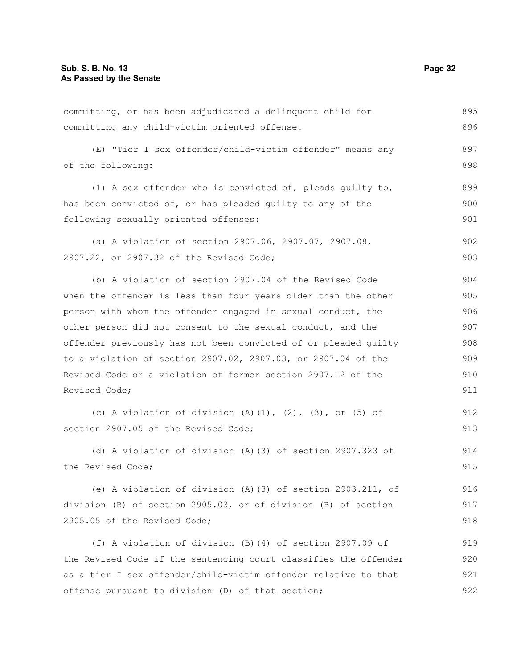committing, or has been adjudicated a delinquent child for committing any child-victim oriented offense. (E) "Tier I sex offender/child-victim offender" means any of the following: (1) A sex offender who is convicted of, pleads guilty to, has been convicted of, or has pleaded guilty to any of the following sexually oriented offenses: (a) A violation of section 2907.06, 2907.07, 2907.08, 2907.22, or 2907.32 of the Revised Code; (b) A violation of section 2907.04 of the Revised Code when the offender is less than four years older than the other person with whom the offender engaged in sexual conduct, the other person did not consent to the sexual conduct, and the offender previously has not been convicted of or pleaded guilty to a violation of section 2907.02, 2907.03, or 2907.04 of the Revised Code or a violation of former section 2907.12 of the Revised Code; (c) A violation of division  $(A)$   $(1)$ ,  $(2)$ ,  $(3)$ , or  $(5)$  of section 2907.05 of the Revised Code; (d) A violation of division (A)(3) of section 2907.323 of the Revised Code; (e) A violation of division (A)(3) of section 2903.211, of division (B) of section 2905.03, or of division (B) of section 2905.05 of the Revised Code; (f) A violation of division (B)(4) of section 2907.09 of the Revised Code if the sentencing court classifies the offender as a tier I sex offender/child-victim offender relative to that 895 896 897 898 899 900 901 902 903 904 905 906 907 908 909 910 911 912 913 914 915 916 917 918 919 920 921

offense pursuant to division (D) of that section;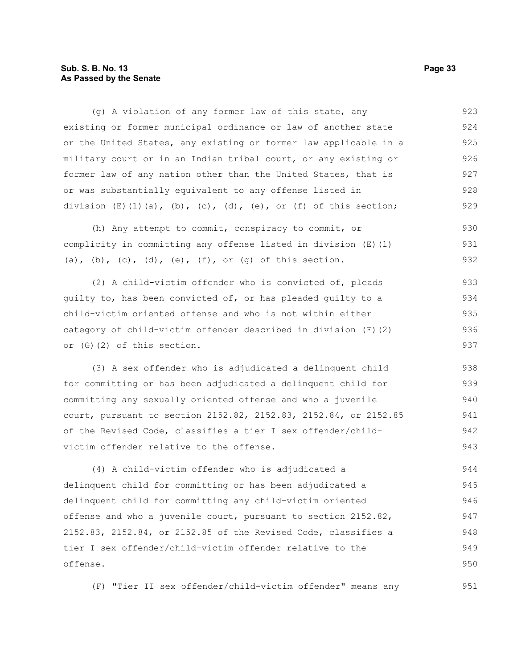#### **Sub. S. B. No. 13 Page 33 As Passed by the Senate**

(g) A violation of any former law of this state, any existing or former municipal ordinance or law of another state or the United States, any existing or former law applicable in a military court or in an Indian tribal court, or any existing or former law of any nation other than the United States, that is or was substantially equivalent to any offense listed in division  $(E)(1)(a)$ ,  $(b)$ ,  $(c)$ ,  $(d)$ ,  $(e)$ , or  $(f)$  of this section; 923 924 925 926 927 928 929

(h) Any attempt to commit, conspiracy to commit, or complicity in committing any offense listed in division (E)(1) (a), (b), (c), (d), (e), (f), or (g) of this section. 930 931 932

(2) A child-victim offender who is convicted of, pleads guilty to, has been convicted of, or has pleaded guilty to a child-victim oriented offense and who is not within either category of child-victim offender described in division (F)(2) or (G)(2) of this section. 933 934 935 936 937

(3) A sex offender who is adjudicated a delinquent child for committing or has been adjudicated a delinquent child for committing any sexually oriented offense and who a juvenile court, pursuant to section 2152.82, 2152.83, 2152.84, or 2152.85 of the Revised Code, classifies a tier I sex offender/childvictim offender relative to the offense. 938 939 940 941 942 943

(4) A child-victim offender who is adjudicated a delinquent child for committing or has been adjudicated a delinquent child for committing any child-victim oriented offense and who a juvenile court, pursuant to section 2152.82, 2152.83, 2152.84, or 2152.85 of the Revised Code, classifies a tier I sex offender/child-victim offender relative to the offense. 944 945 946 947 948 949 950

(F) "Tier II sex offender/child-victim offender" means any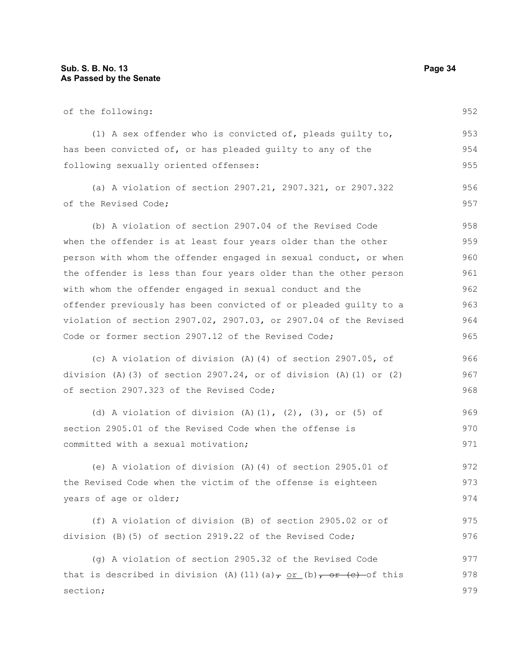section;

| of the following:                                                              | 952 |
|--------------------------------------------------------------------------------|-----|
| (1) A sex offender who is convicted of, pleads guilty to,                      | 953 |
| has been convicted of, or has pleaded guilty to any of the                     | 954 |
| following sexually oriented offenses:                                          | 955 |
| (a) A violation of section 2907.21, 2907.321, or 2907.322                      | 956 |
| of the Revised Code;                                                           | 957 |
| (b) A violation of section 2907.04 of the Revised Code                         | 958 |
| when the offender is at least four years older than the other                  | 959 |
| person with whom the offender engaged in sexual conduct, or when               | 960 |
| the offender is less than four years older than the other person               | 961 |
| with whom the offender engaged in sexual conduct and the                       | 962 |
| offender previously has been convicted of or pleaded guilty to a               | 963 |
| violation of section 2907.02, 2907.03, or 2907.04 of the Revised               | 964 |
| Code or former section 2907.12 of the Revised Code;                            | 965 |
| (c) A violation of division (A) (4) of section 2907.05, of                     | 966 |
| division (A)(3) of section $2907.24$ , or of division (A)(1) or (2)            | 967 |
| of section 2907.323 of the Revised Code;                                       | 968 |
| (d) A violation of division (A)(1), (2), (3), or (5) of                        | 969 |
| section 2905.01 of the Revised Code when the offense is                        | 970 |
| committed with a sexual motivation;                                            | 971 |
| (e) A violation of division (A)(4) of section 2905.01 of                       | 972 |
| the Revised Code when the victim of the offense is eighteen                    | 973 |
| years of age or older;                                                         | 974 |
| (f) A violation of division (B) of section 2905.02 or of                       | 975 |
| division (B) (5) of section 2919.22 of the Revised Code;                       | 976 |
| (q) A violation of section 2905.32 of the Revised Code                         | 977 |
| that is described in division (A) (11) (a) $\tau$ or (b) $\tau$ or (e) of this | 978 |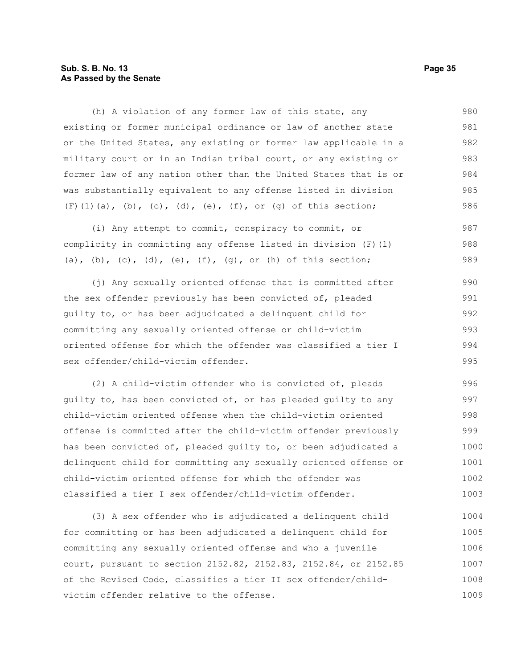#### **Sub. S. B. No. 13 Page 35 As Passed by the Senate**

(h) A violation of any former law of this state, any existing or former municipal ordinance or law of another state or the United States, any existing or former law applicable in a military court or in an Indian tribal court, or any existing or former law of any nation other than the United States that is or was substantially equivalent to any offense listed in division  $(F)$ (1)(a),(b),(c),(d),(e),(f), or (g) of this section; 980 981 982 983 984 985 986

(i) Any attempt to commit, conspiracy to commit, or complicity in committing any offense listed in division (F)(1) (a), (b), (c), (d), (e),  $(f)$ ,  $(g)$ , or  $(h)$  of this section; 987 988 989

(j) Any sexually oriented offense that is committed after the sex offender previously has been convicted of, pleaded guilty to, or has been adjudicated a delinquent child for committing any sexually oriented offense or child-victim oriented offense for which the offender was classified a tier I sex offender/child-victim offender. 990 991 992 993 994 995

(2) A child-victim offender who is convicted of, pleads guilty to, has been convicted of, or has pleaded guilty to any child-victim oriented offense when the child-victim oriented offense is committed after the child-victim offender previously has been convicted of, pleaded guilty to, or been adjudicated a delinquent child for committing any sexually oriented offense or child-victim oriented offense for which the offender was classified a tier I sex offender/child-victim offender. 996 997 998 999 1000 1001 1002 1003

(3) A sex offender who is adjudicated a delinquent child for committing or has been adjudicated a delinquent child for committing any sexually oriented offense and who a juvenile court, pursuant to section 2152.82, 2152.83, 2152.84, or 2152.85 of the Revised Code, classifies a tier II sex offender/childvictim offender relative to the offense. 1004 1005 1006 1007 1008 1009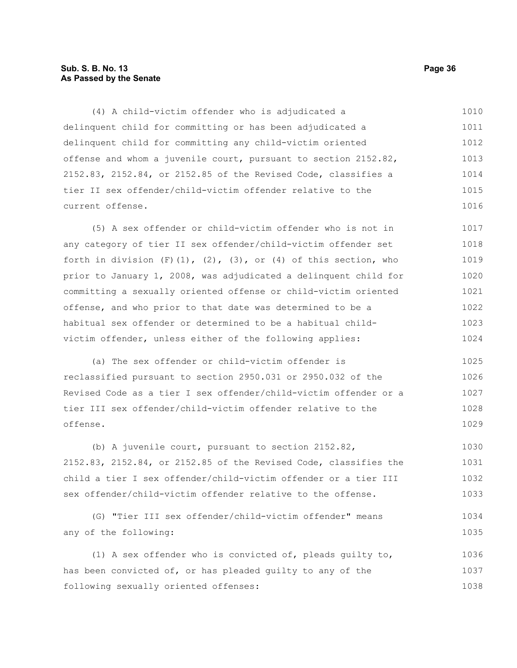#### **Sub. S. B. No. 13 Page 36 As Passed by the Senate**

(4) A child-victim offender who is adjudicated a delinquent child for committing or has been adjudicated a delinquent child for committing any child-victim oriented offense and whom a juvenile court, pursuant to section 2152.82, 2152.83, 2152.84, or 2152.85 of the Revised Code, classifies a tier II sex offender/child-victim offender relative to the current offense. 1010 1011 1012 1013 1014 1015 1016

(5) A sex offender or child-victim offender who is not in any category of tier II sex offender/child-victim offender set forth in division  $(F)(1)$ ,  $(2)$ ,  $(3)$ , or  $(4)$  of this section, who prior to January 1, 2008, was adjudicated a delinquent child for committing a sexually oriented offense or child-victim oriented offense, and who prior to that date was determined to be a habitual sex offender or determined to be a habitual childvictim offender, unless either of the following applies: 1017 1018 1019 1020 1021 1022 1023 1024

(a) The sex offender or child-victim offender is reclassified pursuant to section 2950.031 or 2950.032 of the Revised Code as a tier I sex offender/child-victim offender or a tier III sex offender/child-victim offender relative to the offense. 1025 1026 1027 1028 1029

(b) A juvenile court, pursuant to section 2152.82, 2152.83, 2152.84, or 2152.85 of the Revised Code, classifies the child a tier I sex offender/child-victim offender or a tier III sex offender/child-victim offender relative to the offense. 1030 1031 1032 1033

```
(G) "Tier III sex offender/child-victim offender" means
any of the following:
                                                                            1034
                                                                            1035
```
(1) A sex offender who is convicted of, pleads guilty to, has been convicted of, or has pleaded guilty to any of the following sexually oriented offenses: 1036 1037 1038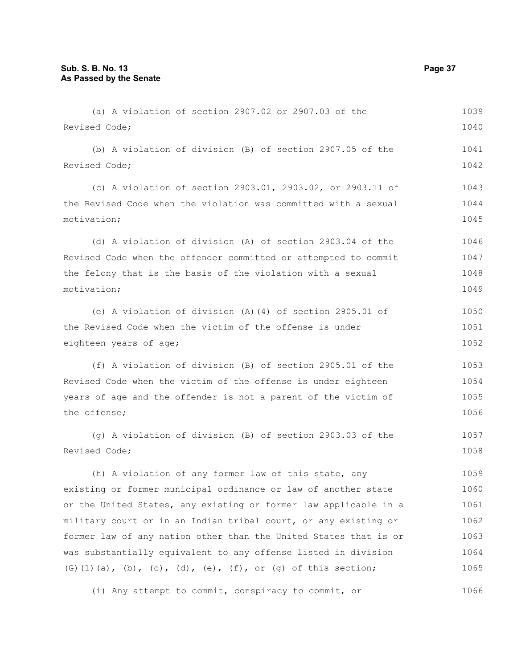| Revised Code;                                                    | 1040 |
|------------------------------------------------------------------|------|
| (b) A violation of division (B) of section 2907.05 of the        | 1041 |
| Revised Code;                                                    | 1042 |
| (c) A violation of section 2903.01, 2903.02, or 2903.11 of       | 1043 |
| the Revised Code when the violation was committed with a sexual  | 1044 |
| motivation;                                                      | 1045 |
| (d) A violation of division (A) of section 2903.04 of the        | 1046 |
| Revised Code when the offender committed or attempted to commit  | 1047 |
| the felony that is the basis of the violation with a sexual      | 1048 |
| motivation;                                                      | 1049 |
| (e) A violation of division $(A)$ $(4)$ of section 2905.01 of    | 1050 |
| the Revised Code when the victim of the offense is under         | 1051 |
| eighteen years of age;                                           | 1052 |
| (f) A violation of division (B) of section 2905.01 of the        | 1053 |
| Revised Code when the victim of the offense is under eighteen    | 1054 |
| years of age and the offender is not a parent of the victim of   | 1055 |
| the offense;                                                     | 1056 |
| (g) A violation of division (B) of section 2903.03 of the        | 1057 |
| Revised Code;                                                    | 1058 |
| (h) A violation of any former law of this state, any             | 1059 |
| existing or former municipal ordinance or law of another state   | 1060 |
| or the United States, any existing or former law applicable in a | 1061 |
| military court or in an Indian tribal court, or any existing or  | 1062 |
| former law of any nation other than the United States that is or | 1063 |
| was substantially equivalent to any offense listed in division   | 1064 |
| $(G) (1) (a), (b), (c), (d), (e), (f), or (g) of this section;$  | 1065 |

(a) A violation of section 2907.02 or 2907.03 of the

(i) Any attempt to commit, conspiracy to commit, or 1066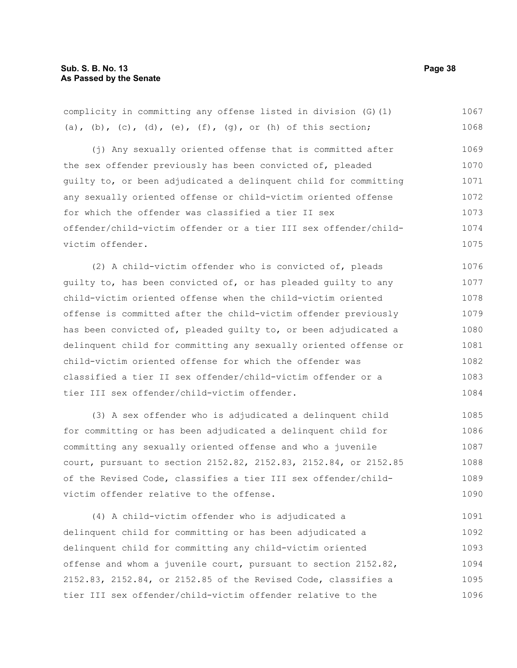| complicity in committing any offense listed in division (G) (1)  | 1067 |
|------------------------------------------------------------------|------|
| (a), (b), (c), (d), (e), (f), (g), or (h) of this section;       | 1068 |
| (j) Any sexually oriented offense that is committed after        | 1069 |
| the sex offender previously has been convicted of, pleaded       | 1070 |
| quilty to, or been adjudicated a delinquent child for committing | 1071 |
| any sexually oriented offense or child-victim oriented offense   | 1072 |
| for which the offender was classified a tier II sex              | 1073 |
| offender/child-victim offender or a tier III sex offender/child- | 1074 |
| victim offender.                                                 | 1075 |
| (2) A child-victim offender who is convicted of, pleads          | 1076 |
| quilty to, has been convicted of, or has pleaded quilty to any   | 1077 |
| child-victim oriented offense when the child-victim oriented     | 1078 |
| offense is committed after the child-victim offender previously  | 1079 |
| has been convicted of, pleaded quilty to, or been adjudicated a  | 1080 |
| delinquent child for committing any sexually oriented offense or | 1081 |
| child-victim oriented offense for which the offender was         | 1082 |
| classified a tier II sex offender/child-victim offender or a     | 1083 |
| tier III sex offender/child-victim offender.                     | 1084 |
|                                                                  |      |

(3) A sex offender who is adjudicated a delinquent child for committing or has been adjudicated a delinquent child for committing any sexually oriented offense and who a juvenile court, pursuant to section 2152.82, 2152.83, 2152.84, or 2152.85 of the Revised Code, classifies a tier III sex offender/childvictim offender relative to the offense. 1085 1086 1087 1088 1089 1090

(4) A child-victim offender who is adjudicated a delinquent child for committing or has been adjudicated a delinquent child for committing any child-victim oriented offense and whom a juvenile court, pursuant to section 2152.82, 2152.83, 2152.84, or 2152.85 of the Revised Code, classifies a tier III sex offender/child-victim offender relative to the 1091 1092 1093 1094 1095 1096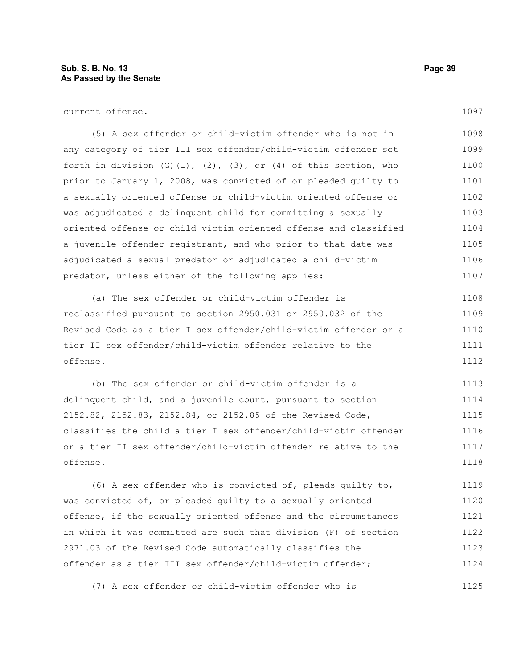current offense.

(5) A sex offender or child-victim offender who is not in any category of tier III sex offender/child-victim offender set forth in division  $(G)(1)$ ,  $(2)$ ,  $(3)$ , or  $(4)$  of this section, who prior to January 1, 2008, was convicted of or pleaded guilty to a sexually oriented offense or child-victim oriented offense or was adjudicated a delinquent child for committing a sexually oriented offense or child-victim oriented offense and classified a juvenile offender registrant, and who prior to that date was adjudicated a sexual predator or adjudicated a child-victim predator, unless either of the following applies: 1098 1099 1100 1101 1102 1103 1104 1105 1106 1107

(a) The sex offender or child-victim offender is reclassified pursuant to section 2950.031 or 2950.032 of the Revised Code as a tier I sex offender/child-victim offender or a tier II sex offender/child-victim offender relative to the offense. 1108 1109 1110 1111 1112

(b) The sex offender or child-victim offender is a delinquent child, and a juvenile court, pursuant to section 2152.82, 2152.83, 2152.84, or 2152.85 of the Revised Code, classifies the child a tier I sex offender/child-victim offender or a tier II sex offender/child-victim offender relative to the offense. 1113 1114 1115 1116 1117 1118

(6) A sex offender who is convicted of, pleads guilty to, was convicted of, or pleaded guilty to a sexually oriented offense, if the sexually oriented offense and the circumstances in which it was committed are such that division (F) of section 2971.03 of the Revised Code automatically classifies the offender as a tier III sex offender/child-victim offender; 1119 1120 1121 1122 1123 1124

(7) A sex offender or child-victim offender who is 1125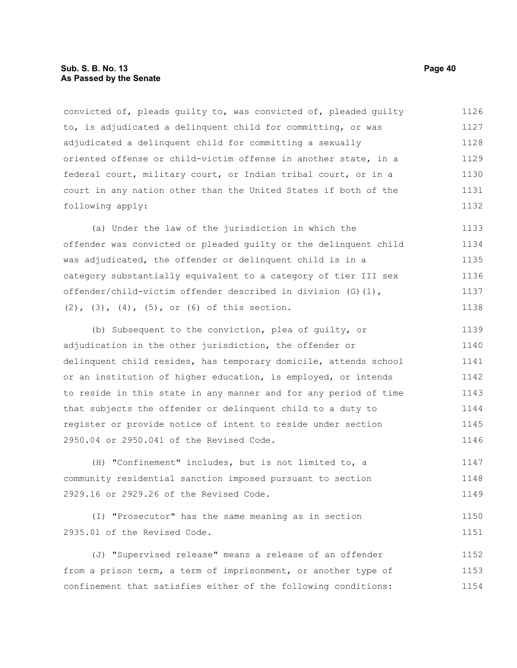convicted of, pleads guilty to, was convicted of, pleaded guilty to, is adjudicated a delinquent child for committing, or was adjudicated a delinquent child for committing a sexually oriented offense or child-victim offense in another state, in a federal court, military court, or Indian tribal court, or in a court in any nation other than the United States if both of the following apply: 1126 1127 1128 1129 1130 1131 1132

(a) Under the law of the jurisdiction in which the offender was convicted or pleaded guilty or the delinquent child was adjudicated, the offender or delinquent child is in a category substantially equivalent to a category of tier III sex offender/child-victim offender described in division (G)(1), (2), (3), (4), (5), or (6) of this section. 1133 1134 1135 1136 1137 1138

(b) Subsequent to the conviction, plea of guilty, or adjudication in the other jurisdiction, the offender or delinquent child resides, has temporary domicile, attends school or an institution of higher education, is employed, or intends to reside in this state in any manner and for any period of time that subjects the offender or delinquent child to a duty to register or provide notice of intent to reside under section 2950.04 or 2950.041 of the Revised Code. 1139 1140 1141 1142 1143 1144 1145 1146

(H) "Confinement" includes, but is not limited to, a community residential sanction imposed pursuant to section 2929.16 or 2929.26 of the Revised Code. 1147 1148 1149

```
(I) "Prosecutor" has the same meaning as in section
2935.01 of the Revised Code.
                                                                            1150
                                                                            1151
```
(J) "Supervised release" means a release of an offender from a prison term, a term of imprisonment, or another type of confinement that satisfies either of the following conditions: 1152 1153 1154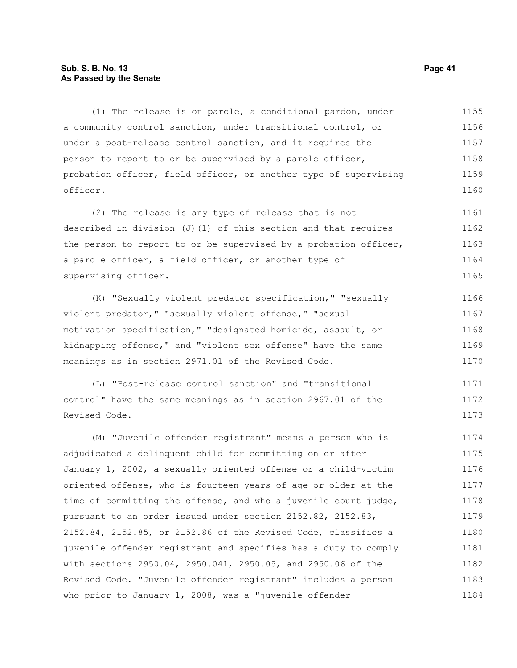#### **Sub. S. B. No. 13 Page 41 As Passed by the Senate**

(1) The release is on parole, a conditional pardon, under a community control sanction, under transitional control, or under a post-release control sanction, and it requires the person to report to or be supervised by a parole officer, probation officer, field officer, or another type of supervising officer. 1155 1156 1157 1158 1159 1160

(2) The release is any type of release that is not described in division (J)(1) of this section and that requires the person to report to or be supervised by a probation officer, a parole officer, a field officer, or another type of supervising officer. 1161 1162 1163 1164 1165

(K) "Sexually violent predator specification," "sexually violent predator," "sexually violent offense," "sexual motivation specification," "designated homicide, assault, or kidnapping offense," and "violent sex offense" have the same meanings as in section 2971.01 of the Revised Code. 1166 1167 1168 1169 1170

(L) "Post-release control sanction" and "transitional control" have the same meanings as in section 2967.01 of the Revised Code. 1171 1172 1173

(M) "Juvenile offender registrant" means a person who is adjudicated a delinquent child for committing on or after January 1, 2002, a sexually oriented offense or a child-victim oriented offense, who is fourteen years of age or older at the time of committing the offense, and who a juvenile court judge, pursuant to an order issued under section 2152.82, 2152.83, 2152.84, 2152.85, or 2152.86 of the Revised Code, classifies a juvenile offender registrant and specifies has a duty to comply with sections 2950.04, 2950.041, 2950.05, and 2950.06 of the Revised Code. "Juvenile offender registrant" includes a person who prior to January 1, 2008, was a "juvenile offender 1174 1175 1176 1177 1178 1179 1180 1181 1182 1183 1184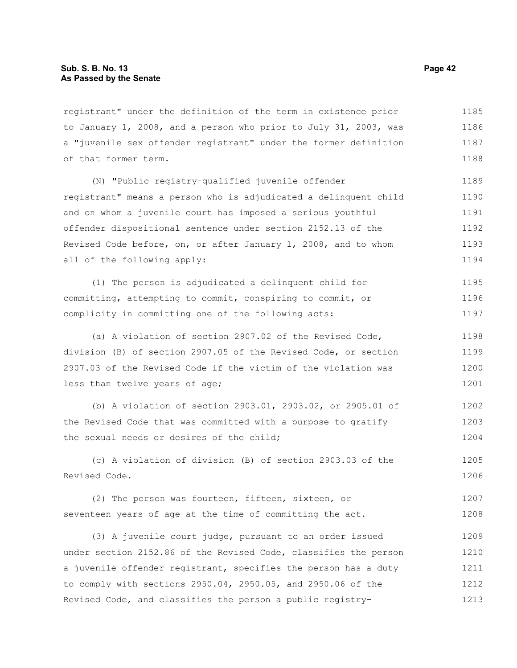registrant" under the definition of the term in existence prior to January 1, 2008, and a person who prior to July 31, 2003, was a "juvenile sex offender registrant" under the former definition of that former term. 1185 1186 1187 1188

(N) "Public registry-qualified juvenile offender registrant" means a person who is adjudicated a delinquent child and on whom a juvenile court has imposed a serious youthful offender dispositional sentence under section 2152.13 of the Revised Code before, on, or after January 1, 2008, and to whom all of the following apply: 1189 1190 1191 1192 1193 1194

(1) The person is adjudicated a delinquent child for committing, attempting to commit, conspiring to commit, or complicity in committing one of the following acts: 1195 1196 1197

(a) A violation of section 2907.02 of the Revised Code, division (B) of section 2907.05 of the Revised Code, or section 2907.03 of the Revised Code if the victim of the violation was less than twelve years of age; 1198 1199 1200 1201

(b) A violation of section 2903.01, 2903.02, or 2905.01 of the Revised Code that was committed with a purpose to gratify the sexual needs or desires of the child; 1202 1203 1204

(c) A violation of division (B) of section 2903.03 of the Revised Code. 1205 1206

(2) The person was fourteen, fifteen, sixteen, or seventeen years of age at the time of committing the act. 1207 1208

(3) A juvenile court judge, pursuant to an order issued under section 2152.86 of the Revised Code, classifies the person a juvenile offender registrant, specifies the person has a duty to comply with sections 2950.04, 2950.05, and 2950.06 of the Revised Code, and classifies the person a public registry-1209 1210 1211 1212 1213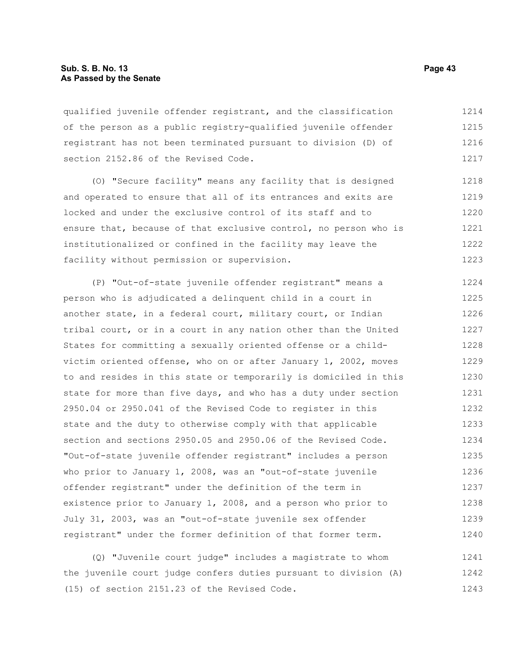#### **Sub. S. B. No. 13 Page 43 As Passed by the Senate**

qualified juvenile offender registrant, and the classification of the person as a public registry-qualified juvenile offender registrant has not been terminated pursuant to division (D) of section 2152.86 of the Revised Code. 1214 1215 1216 1217

(O) "Secure facility" means any facility that is designed and operated to ensure that all of its entrances and exits are locked and under the exclusive control of its staff and to ensure that, because of that exclusive control, no person who is institutionalized or confined in the facility may leave the facility without permission or supervision. 1218 1219 1220 1221 1222 1223

(P) "Out-of-state juvenile offender registrant" means a person who is adjudicated a delinquent child in a court in another state, in a federal court, military court, or Indian tribal court, or in a court in any nation other than the United States for committing a sexually oriented offense or a childvictim oriented offense, who on or after January 1, 2002, moves to and resides in this state or temporarily is domiciled in this state for more than five days, and who has a duty under section 2950.04 or 2950.041 of the Revised Code to register in this state and the duty to otherwise comply with that applicable section and sections 2950.05 and 2950.06 of the Revised Code. "Out-of-state juvenile offender registrant" includes a person who prior to January 1, 2008, was an "out-of-state juvenile offender registrant" under the definition of the term in existence prior to January 1, 2008, and a person who prior to July 31, 2003, was an "out-of-state juvenile sex offender registrant" under the former definition of that former term. 1224 1225 1226 1227 1228 1229 1230 1231 1232 1233 1234 1235 1236 1237 1238 1239 1240

(Q) "Juvenile court judge" includes a magistrate to whom the juvenile court judge confers duties pursuant to division (A) (15) of section 2151.23 of the Revised Code. 1241 1242 1243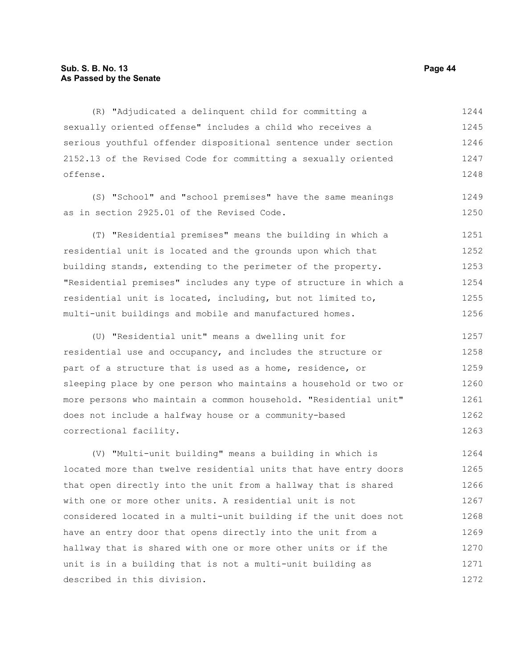(R) "Adjudicated a delinquent child for committing a sexually oriented offense" includes a child who receives a serious youthful offender dispositional sentence under section 2152.13 of the Revised Code for committing a sexually oriented offense. 1244 1245 1246 1247 1248

(S) "School" and "school premises" have the same meanings as in section 2925.01 of the Revised Code.

(T) "Residential premises" means the building in which a residential unit is located and the grounds upon which that building stands, extending to the perimeter of the property. "Residential premises" includes any type of structure in which a residential unit is located, including, but not limited to, multi-unit buildings and mobile and manufactured homes. 1251 1252 1253 1254 1255 1256

(U) "Residential unit" means a dwelling unit for residential use and occupancy, and includes the structure or part of a structure that is used as a home, residence, or sleeping place by one person who maintains a household or two or more persons who maintain a common household. "Residential unit" does not include a halfway house or a community-based correctional facility. 1257 1258 1259 1260 1261 1262 1263

(V) "Multi-unit building" means a building in which is located more than twelve residential units that have entry doors that open directly into the unit from a hallway that is shared with one or more other units. A residential unit is not considered located in a multi-unit building if the unit does not have an entry door that opens directly into the unit from a hallway that is shared with one or more other units or if the unit is in a building that is not a multi-unit building as described in this division. 1264 1265 1266 1267 1268 1269 1270 1271 1272